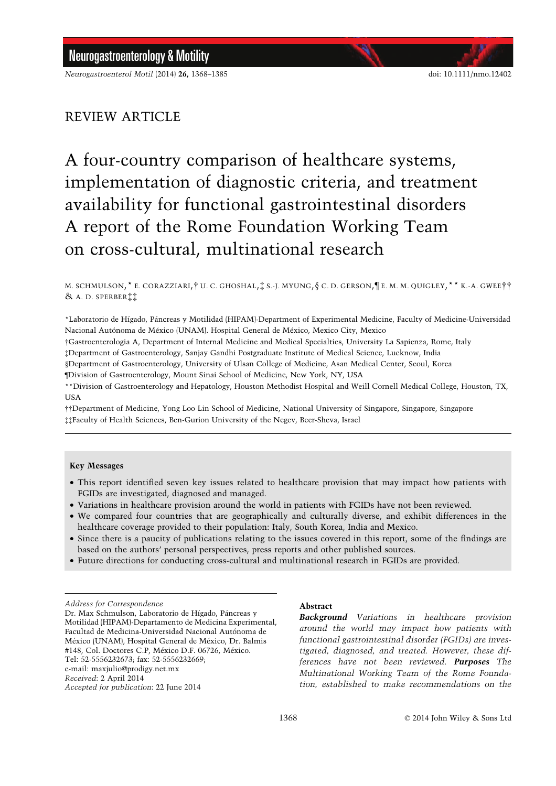Neurogastroenterol Motil (2014) 26, 1368–1385 doi: 10.1111/nmo.12402

## REVIEW ARTICLE

# A four-country comparison of healthcare systems, implementation of diagnostic criteria, and treatment availability for functional gastrointestinal disorders A report of the Rome Foundation Working Team on cross-cultural, multinational research

M. SCHMULSON,\* E. CORAZZIARI,† U. C. GHOSHAL,‡ S.-J. MYUNG,§ C. D. GERSON,¶ E. M. M. QUIGLEY,\*\* K.-A. GWEE†† & A. D. SPERBER‡‡

\*Laboratorio de Hígado, Páncreas y Motilidad (HIPAM)-Department of Experimental Medicine, Faculty of Medicine-Universidad Nacional Autónoma de México (UNAM). Hospital General de México, Mexico City, Mexico

†Gastroenterologia A, Department of Internal Medicine and Medical Specialties, University La Sapienza, Rome, Italy

‡Department of Gastroenterology, Sanjay Gandhi Postgraduate Institute of Medical Science, Lucknow, India

§Department of Gastroenterology, University of Ulsan College of Medicine, Asan Medical Center, Seoul, Korea

¶Division of Gastroenterology, Mount Sinai School of Medicine, New York, NY, USA

\*\*Division of Gastroenterology and Hepatology, Houston Methodist Hospital and Weill Cornell Medical College, Houston, TX, USA

††Department of Medicine, Yong Loo Lin School of Medicine, National University of Singapore, Singapore, Singapore ‡‡Faculty of Health Sciences, Ben-Gurion University of the Negev, Beer-Sheva, Israel

### Key Messages

- This report identified seven key issues related to healthcare provision that may impact how patients with FGIDs are investigated, diagnosed and managed.
- Variations in healthcare provision around the world in patients with FGIDs have not been reviewed.
- We compared four countries that are geographically and culturally diverse, and exhibit differences in the healthcare coverage provided to their population: Italy, South Korea, India and Mexico.
- Since there is a paucity of publications relating to the issues covered in this report, some of the findings are based on the authors' personal perspectives, press reports and other published sources.
- Future directions for conducting cross-cultural and multinational research in FGIDs are provided.

Address for Correspondence

Dr. Max Schmulson, Laboratorio de Hígado, Páncreas y Motilidad (HIPAM)-Departamento de Medicina Experimental, Facultad de Medicina-Universidad Nacional Autónoma de México (UNAM), Hospital General de México, Dr. Balmis #148, Col. Doctores C.P, México D.F. 06726, México. Tel: 52-5556232673; fax: 52-5556232669; e-mail: maxjulio@prodigy.net.mx Received: 2 April 2014 Accepted for publication: 22 June 2014

### Abstract

Background Variations in healthcare provision around the world may impact how patients with functional gastrointestinal disorder (FGIDs) are investigated, diagnosed, and treated. However, these differences have not been reviewed. Purposes The Multinational Working Team of the Rome Foundation, established to make recommendations on the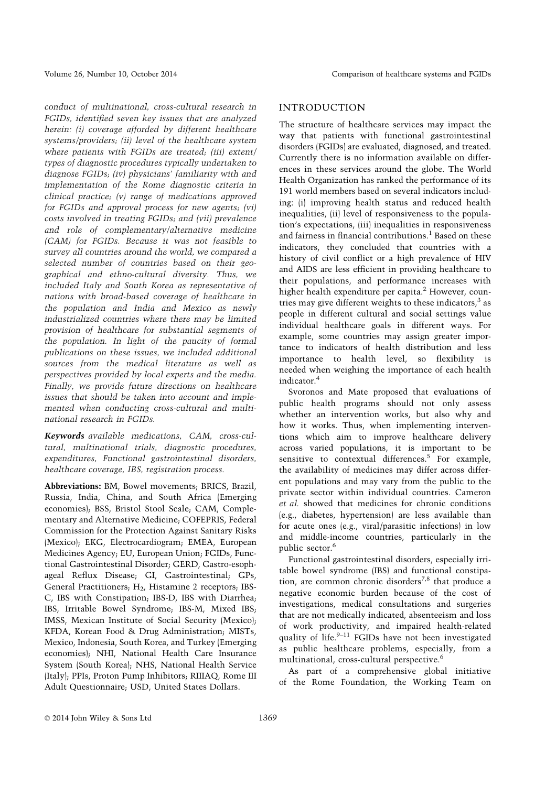conduct of multinational, cross-cultural research in FGIDs, identified seven key issues that are analyzed herein: (i) coverage afforded by different healthcare systems/providers; (ii) level of the healthcare system where patients with FGIDs are treated; (iii) extent/ types of diagnostic procedures typically undertaken to diagnose FGIDs; (iv) physicians' familiarity with and implementation of the Rome diagnostic criteria in clinical practice; (v) range of medications approved for FGIDs and approval process for new agents; (vi) costs involved in treating FGIDs; and (vii) prevalence and role of complementary/alternative medicine (CAM) for FGIDs. Because it was not feasible to survey all countries around the world, we compared a selected number of countries based on their geographical and ethno-cultural diversity. Thus, we included Italy and South Korea as representative of nations with broad-based coverage of healthcare in the population and India and Mexico as newly industrialized countries where there may be limited provision of healthcare for substantial segments of the population. In light of the paucity of formal publications on these issues, we included additional sources from the medical literature as well as perspectives provided by local experts and the media. Finally, we provide future directions on healthcare issues that should be taken into account and implemented when conducting cross-cultural and multinational research in FGIDs.

Keywords available medications, CAM, cross-cultural, multinational trials, diagnostic procedures, expenditures, Functional gastrointestinal disorders, healthcare coverage, IBS, registration process.

Abbreviations: BM, Bowel movements; BRICS, Brazil, Russia, India, China, and South Africa (Emerging economies); BSS, Bristol Stool Scale; CAM, Complementary and Alternative Medicine; COFEPRIS, Federal Commission for the Protection Against Sanitary Risks (Mexico); EKG, Electrocardiogram; EMEA, European Medicines Agency; EU, European Union; FGIDs, Functional Gastrointestinal Disorder; GERD, Gastro-esophageal Reflux Disease; GI, Gastrointestinal; GPs, General Practitioners;  $H<sub>2</sub>$ , Histamine 2 receptors; IBS-C, IBS with Constipation; IBS-D, IBS with Diarrhea; IBS, Irritable Bowel Syndrome; IBS-M, Mixed IBS; IMSS, Mexican Institute of Social Security (Mexico); KFDA, Korean Food & Drug Administration; MISTs, Mexico, Indonesia, South Korea, and Turkey (Emerging economies); NHI, National Health Care Insurance System (South Korea); NHS, National Health Service (Italy); PPIs, Proton Pump Inhibitors; RIIIAQ, Rome III Adult Questionnaire; USD, United States Dollars.

### INTRODUCTION

The structure of healthcare services may impact the way that patients with functional gastrointestinal disorders (FGIDs) are evaluated, diagnosed, and treated. Currently there is no information available on differences in these services around the globe. The World Health Organization has ranked the performance of its 191 world members based on several indicators including: (i) improving health status and reduced health inequalities, (ii) level of responsiveness to the population's expectations, (iii) inequalities in responsiveness and fairness in financial contributions.<sup>1</sup> Based on these indicators, they concluded that countries with a history of civil conflict or a high prevalence of HIV and AIDS are less efficient in providing healthcare to their populations, and performance increases with higher health expenditure per capita.<sup>2</sup> However, countries may give different weights to these indicators, $3$  as people in different cultural and social settings value individual healthcare goals in different ways. For example, some countries may assign greater importance to indicators of health distribution and less importance to health level, so flexibility is needed when weighing the importance of each health indicator.<sup>4</sup>

Svoronos and Mate proposed that evaluations of public health programs should not only assess whether an intervention works, but also why and how it works. Thus, when implementing interventions which aim to improve healthcare delivery across varied populations, it is important to be sensitive to contextual differences.<sup>5</sup> For example, the availability of medicines may differ across different populations and may vary from the public to the private sector within individual countries. Cameron et al. showed that medicines for chronic conditions (e.g., diabetes, hypertension) are less available than for acute ones (e.g., viral/parasitic infections) in low and middle-income countries, particularly in the public sector.<sup>6</sup>

Functional gastrointestinal disorders, especially irritable bowel syndrome (IBS) and functional constipation, are common chronic disorders<sup>7,8</sup> that produce a negative economic burden because of the cost of investigations, medical consultations and surgeries that are not medically indicated, absenteeism and loss of work productivity, and impaired health-related quality of life. $9-11$  FGIDs have not been investigated as public healthcare problems, especially, from a multinational, cross-cultural perspective.<sup>6</sup>

As part of a comprehensive global initiative of the Rome Foundation, the Working Team on

© 2014 John Wiley & Sons Ltd 1369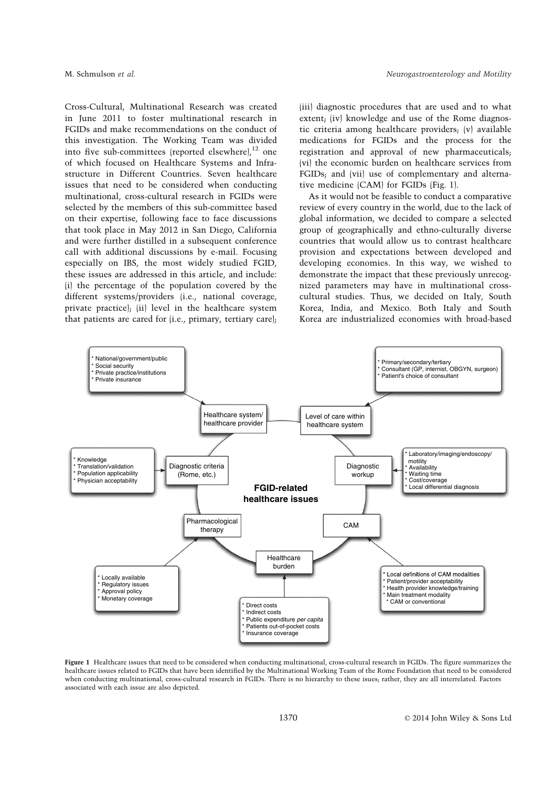Cross-Cultural, Multinational Research was created in June 2011 to foster multinational research in FGIDs and make recommendations on the conduct of this investigation. The Working Team was divided into five sub-committees (reported elsewhere), $12$  one of which focused on Healthcare Systems and Infrastructure in Different Countries. Seven healthcare issues that need to be considered when conducting multinational, cross-cultural research in FGIDs were selected by the members of this sub-committee based on their expertise, following face to face discussions that took place in May 2012 in San Diego, California and were further distilled in a subsequent conference call with additional discussions by e-mail. Focusing especially on IBS, the most widely studied FGID, these issues are addressed in this article, and include: (i) the percentage of the population covered by the different systems/providers (i.e., national coverage, private practice); (ii) level in the healthcare system that patients are cared for (i.e., primary, tertiary care); (iii) diagnostic procedures that are used and to what extent; (iv) knowledge and use of the Rome diagnostic criteria among healthcare providers; (v) available medications for FGIDs and the process for the registration and approval of new pharmaceuticals; (vi) the economic burden on healthcare services from FGIDs; and (vii) use of complementary and alternative medicine (CAM) for FGIDs (Fig. 1).

As it would not be feasible to conduct a comparative review of every country in the world, due to the lack of global information, we decided to compare a selected group of geographically and ethno-culturally diverse countries that would allow us to contrast healthcare provision and expectations between developed and developing economies. In this way, we wished to demonstrate the impact that these previously unrecognized parameters may have in multinational crosscultural studies. Thus, we decided on Italy, South Korea, India, and Mexico. Both Italy and South Korea are industrialized economies with broad-based



Figure 1 Healthcare issues that need to be considered when conducting multinational, cross-cultural research in FGIDs. The figure summarizes the healthcare issues related to FGIDs that have been identified by the Multinational Working Team of the Rome Foundation that need to be considered when conducting multinational, cross-cultural research in FGIDs. There is no hierarchy to these isues; rather, they are all interrelated. Factors associated with each issue are also depicted.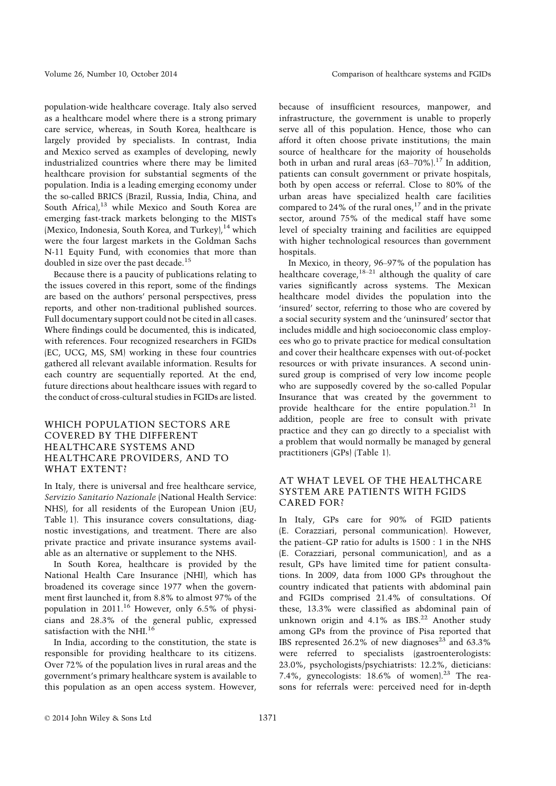population-wide healthcare coverage. Italy also served as a healthcare model where there is a strong primary care service, whereas, in South Korea, healthcare is largely provided by specialists. In contrast, India and Mexico served as examples of developing, newly industrialized countries where there may be limited healthcare provision for substantial segments of the population. India is a leading emerging economy under the so-called BRICS (Brazil, Russia, India, China, and South Africa), $13$  while Mexico and South Korea are emerging fast-track markets belonging to the MISTs (Mexico, Indonesia, South Korea, and Turkey), $14$  which were the four largest markets in the Goldman Sachs N-11 Equity Fund, with economies that more than doubled in size over the past decade.<sup>15</sup>

Because there is a paucity of publications relating to the issues covered in this report, some of the findings are based on the authors' personal perspectives, press reports, and other non-traditional published sources. Full documentary support could not be cited in all cases. Where findings could be documented, this is indicated, with references. Four recognized researchers in FGIDs (EC, UCG, MS, SM) working in these four countries gathered all relevant available information. Results for each country are sequentially reported. At the end, future directions about healthcare issues with regard to the conduct of cross-cultural studies in FGIDs are listed.

### WHICH POPULATION SECTORS ARE COVERED BY THE DIFFERENT HEALTHCARE SYSTEMS AND HEALTHCARE PROVIDERS, AND TO WHAT EXTENT?

In Italy, there is universal and free healthcare service, Servizio Sanitario Nazionale (National Health Service: NHS), for all residents of the European Union (EU; Table 1). This insurance covers consultations, diagnostic investigations, and treatment. There are also private practice and private insurance systems available as an alternative or supplement to the NHS.

In South Korea, healthcare is provided by the National Health Care Insurance (NHI), which has broadened its coverage since 1977 when the government first launched it, from 8.8% to almost 97% of the population in 2011.<sup>16</sup> However, only 6.5% of physicians and 28.3% of the general public, expressed satisfaction with the NHI.<sup>16</sup>

In India, according to the constitution, the state is responsible for providing healthcare to its citizens. Over 72% of the population lives in rural areas and the government's primary healthcare system is available to this population as an open access system. However,

because of insufficient resources, manpower, and infrastructure, the government is unable to properly serve all of this population. Hence, those who can afford it often choose private institutions; the main source of healthcare for the majority of households both in urban and rural areas  $(63-70\%)$ .<sup>17</sup> In addition, patients can consult government or private hospitals, both by open access or referral. Close to 80% of the urban areas have specialized health care facilities compared to 24% of the rural ones, $17$  and in the private sector, around 75% of the medical staff have some level of specialty training and facilities are equipped with higher technological resources than government hospitals.

In Mexico, in theory, 96–97% of the population has healthcare coverage, $18-21$  although the quality of care varies significantly across systems. The Mexican healthcare model divides the population into the 'insured' sector, referring to those who are covered by a social security system and the 'uninsured' sector that includes middle and high socioeconomic class employees who go to private practice for medical consultation and cover their healthcare expenses with out-of-pocket resources or with private insurances. A second uninsured group is comprised of very low income people who are supposedly covered by the so-called Popular Insurance that was created by the government to provide healthcare for the entire population.<sup>21</sup> In addition, people are free to consult with private practice and they can go directly to a specialist with a problem that would normally be managed by general practitioners (GPs) (Table 1).

### AT WHAT LEVEL OF THE HEALTHCARE SYSTEM ARE PATIENTS WITH FGIDS CARED FOR?

In Italy, GPs care for 90% of FGID patients (E. Corazziari, personal communication). However, the patient–GP ratio for adults is 1500 : 1 in the NHS (E. Corazziari, personal communication), and as a result, GPs have limited time for patient consultations. In 2009, data from 1000 GPs throughout the country indicated that patients with abdominal pain and FGIDs comprised 21.4% of consultations. Of these, 13.3% were classified as abdominal pain of unknown origin and  $4.1\%$  as IBS.<sup>22</sup> Another study among GPs from the province of Pisa reported that IBS represented  $26.2\%$  of new diagnoses<sup>23</sup> and 63.3% were referred to specialists (gastroenterologists: 23.0%, psychologists/psychiatrists: 12.2%, dieticians: 7.4%, gynecologists:  $18.6\%$  of women).<sup>23</sup> The reasons for referrals were: perceived need for in-depth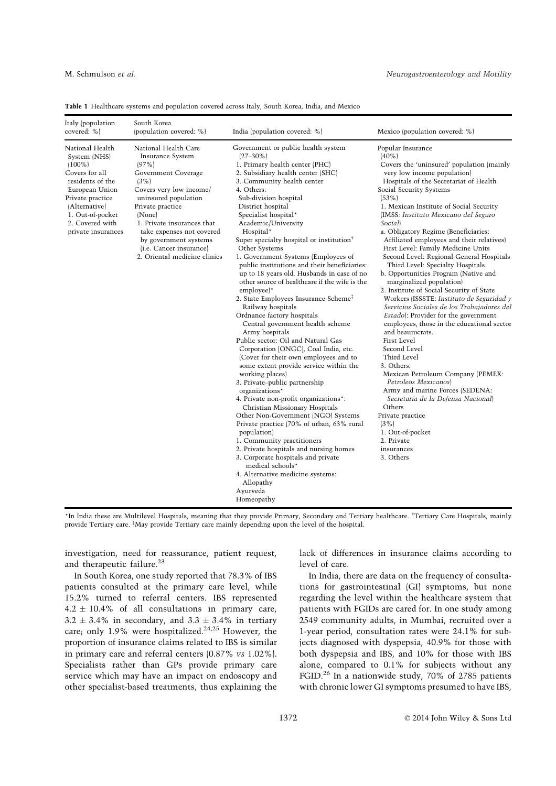| Italy (population<br>covered: %)                                                                                                                                                                       | South Korea<br>(population covered: %)                                                                                                                                                                                                                                                                                     | India (population covered: %)                                                                                                                                                                                                                                                                                                                                                                                                                                                                                                                                                                                                                                                                                                                                                                                                                                                                                                                                                                                                                                                                                                                                                                                                                                                                                                                               | Mexico (population covered: %)                                                                                                                                                                                                                                                                                                                                                                                                                                                                                                                                                                                                                                                                                                                                                                                                                                                                                                                                                                                                                                                                                         |
|--------------------------------------------------------------------------------------------------------------------------------------------------------------------------------------------------------|----------------------------------------------------------------------------------------------------------------------------------------------------------------------------------------------------------------------------------------------------------------------------------------------------------------------------|-------------------------------------------------------------------------------------------------------------------------------------------------------------------------------------------------------------------------------------------------------------------------------------------------------------------------------------------------------------------------------------------------------------------------------------------------------------------------------------------------------------------------------------------------------------------------------------------------------------------------------------------------------------------------------------------------------------------------------------------------------------------------------------------------------------------------------------------------------------------------------------------------------------------------------------------------------------------------------------------------------------------------------------------------------------------------------------------------------------------------------------------------------------------------------------------------------------------------------------------------------------------------------------------------------------------------------------------------------------|------------------------------------------------------------------------------------------------------------------------------------------------------------------------------------------------------------------------------------------------------------------------------------------------------------------------------------------------------------------------------------------------------------------------------------------------------------------------------------------------------------------------------------------------------------------------------------------------------------------------------------------------------------------------------------------------------------------------------------------------------------------------------------------------------------------------------------------------------------------------------------------------------------------------------------------------------------------------------------------------------------------------------------------------------------------------------------------------------------------------|
| National Health<br>System (NHS)<br>$(100\%)$<br>Covers for all<br>residents of the<br>European Union<br>Private practice<br>(Alternative)<br>1. Out-of-pocket<br>2. Covered with<br>private insurances | National Health Care<br><b>Insurance System</b><br>(97%)<br>Government Coverage<br>$(3\%)$<br>Covers very low income/<br>uninsured population<br>Private practice<br>(None)<br>1. Private insurances that<br>take expenses not covered<br>by government systems<br>(i.e. Cancer insurance)<br>2. Oriental medicine clinics | Government or public health system<br>$(27 - 30\%)$<br>1. Primary health center (PHC)<br>2. Subsidiary health center (SHC)<br>3. Community health center<br>4. Others:<br>Sub-division hospital<br>District hospital<br>Specialist hospital*<br>Academic/University<br>Hospital*<br>Super specialty hospital or institution <sup>†</sup><br>Other Systems<br>1. Government Systems (Employees of<br>public institutions and their beneficiaries:<br>up to 18 years old. Husbands in case of no<br>other source of healthcare if the wife is the<br>employee)*<br>2. State Employees Insurance Scheme <sup>‡</sup><br>Railway hospitals<br>Ordnance factory hospitals<br>Central government health scheme<br>Army hospitals<br>Public sector: Oil and Natural Gas<br>Corporation [ONGC], Coal India, etc.<br>(Cover for their own employees and to<br>some extent provide service within the<br>working places)<br>3. Private-public partnership<br>organizations*<br>4. Private non-profit organizations*:<br>Christian Missionary Hospitals<br>Other Non-Government (NGO) Systems<br>Private practice (70% of urban, 63% rural<br>population)<br>1. Community practitioners<br>2. Private hospitals and nursing homes<br>3. Corporate hospitals and private<br>medical schools*<br>4. Alternative medicine systems:<br>Allopathy<br>Ayurveda<br>Homeopathy | Popular Insurance<br>(40%<br>Covers the 'uninsured' population (mainly<br>very low income population)<br>Hospitals of the Secretariat of Health<br>Social Security Systems<br>(53%)<br>1. Mexican Institute of Social Security<br>(IMSS: Instituto Mexicano del Seguro<br>Social)<br>a. Obligatory Regime (Beneficiaries:<br>Affiliated employees and their relatives)<br>First Level: Family Medicine Units<br>Second Level: Regional General Hospitals<br>Third Level: Specialty Hospitals<br>b. Opportunities Program (Native and<br>marginalized population)<br>2. Institute of Social Security of State<br>Workers (ISSSTE: Instituto de Seguridad y<br>Servicios Sociales de los Trabajadores del<br>Estado): Provider for the government<br>employees, those in the educational sector<br>and beaurocrats.<br>First Level<br>Second Level<br>Third Level<br>3. Others:<br>Mexican Petroleum Company (PEMEX:<br>Petroleos Mexicanos)<br>Army and marine Forces (SEDENA:<br>Secretaría de la Defensa Nacional)<br>Others<br>Private practice<br>(3%)<br>1. Out-of-pocket<br>2. Private<br>insurances<br>3. Others |

Table 1 Healthcare systems and population covered across Italy, South Korea, India, and Mexico

\*In India these are Multilevel Hospitals, meaning that they provide Primary, Secondary and Tertiary healthcare. † Tertiary Care Hospitals, mainly provide Tertiary care. ‡ May provide Tertiary care mainly depending upon the level of the hospital.

investigation, need for reassurance, patient request, and therapeutic failure.<sup>23</sup>

In South Korea, one study reported that 78.3% of IBS patients consulted at the primary care level, while 15.2% turned to referral centers. IBS represented  $4.2 \pm 10.4\%$  of all consultations in primary care,  $3.2 \pm 3.4\%$  in secondary, and  $3.3 \pm 3.4\%$  in tertiary care; only 1.9% were hospitalized.<sup>24,25</sup> However, the proportion of insurance claims related to IBS is similar in primary care and referral centers (0.87% vs 1.02%). Specialists rather than GPs provide primary care service which may have an impact on endoscopy and other specialist-based treatments, thus explaining the lack of differences in insurance claims according to level of care.

In India, there are data on the frequency of consultations for gastrointestinal (GI) symptoms, but none regarding the level within the healthcare system that patients with FGIDs are cared for. In one study among 2549 community adults, in Mumbai, recruited over a 1-year period, consultation rates were 24.1% for subjects diagnosed with dyspepsia, 40.9% for those with both dyspepsia and IBS, and 10% for those with IBS alone, compared to 0.1% for subjects without any FGID.<sup>26</sup> In a nationwide study, 70% of 2785 patients with chronic lower GI symptoms presumed to have IBS,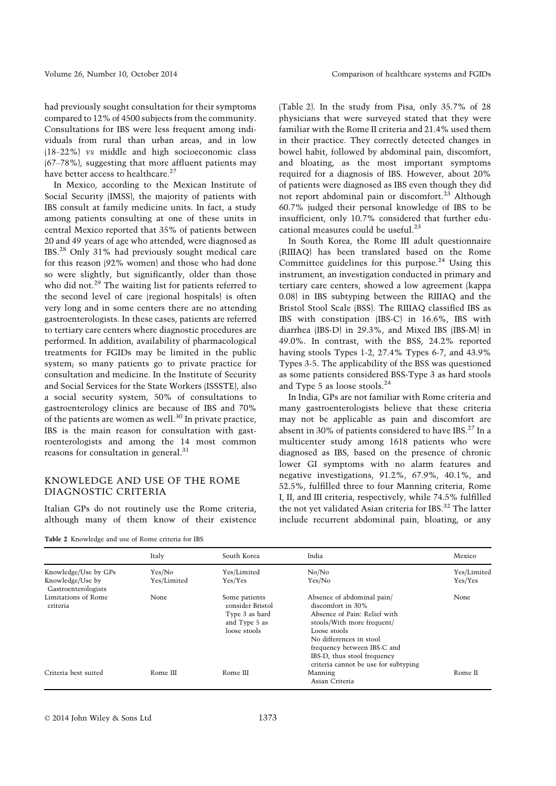had previously sought consultation for their symptoms compared to 12% of 4500 subjects from the community. Consultations for IBS were less frequent among individuals from rural than urban areas, and in low (18–22%) vs middle and high socioeconomic class (67–78%), suggesting that more affluent patients may have better access to healthcare.<sup>27</sup>

In Mexico, according to the Mexican Institute of Social Security (IMSS), the majority of patients with IBS consult at family medicine units. In fact, a study among patients consulting at one of these units in central Mexico reported that 35% of patients between 20 and 49 years of age who attended, were diagnosed as IBS.<sup>28</sup> Only 31% had previously sought medical care for this reason (92% women) and those who had done so were slightly, but significantly, older than those who did not.<sup>29</sup> The waiting list for patients referred to the second level of care (regional hospitals) is often very long and in some centers there are no attending gastroenterologists. In these cases, patients are referred to tertiary care centers where diagnostic procedures are performed. In addition, availability of pharmacological treatments for FGIDs may be limited in the public system; so many patients go to private practice for consultation and medicine. In the Institute of Security and Social Services for the State Workers (ISSSTE), also a social security system, 50% of consultations to gastroenterology clinics are because of IBS and 70% of the patients are women as well. $30$  In private practice, IBS is the main reason for consultation with gastroenterologists and among the 14 most common reasons for consultation in general.<sup>31</sup>

### KNOWLEDGE AND USE OF THE ROME DIAGNOSTIC CRITERIA

Italian GPs do not routinely use the Rome criteria, although many of them know of their existence

(Table 2). In the study from Pisa, only 35.7% of 28 physicians that were surveyed stated that they were familiar with the Rome II criteria and 21.4% used them in their practice. They correctly detected changes in bowel habit, followed by abdominal pain, discomfort, and bloating, as the most important symptoms required for a diagnosis of IBS. However, about 20% of patients were diagnosed as IBS even though they did not report abdominal pain or discomfort.<sup>23</sup> Although 60.7% judged their personal knowledge of IBS to be insufficient, only 10.7% considered that further educational measures could be useful.<sup>23</sup>

In South Korea, the Rome III adult questionnaire (RIIIAQ) has been translated based on the Rome Committee guidelines for this purpose. $24$  Using this instrument, an investigation conducted in primary and tertiary care centers, showed a low agreement (kappa 0.08) in IBS subtyping between the RIIIAQ and the Bristol Stool Scale (BSS). The RIIIAQ classified IBS as IBS with constipation (IBS-C) in 16.6%, IBS with diarrhea (IBS-D) in 29.3%, and Mixed IBS (IBS-M) in 49.0%. In contrast, with the BSS, 24.2% reported having stools Types 1-2, 27.4% Types 6-7, and 43.9% Types 3-5. The applicability of the BSS was questioned as some patients considered BSS-Type 3 as hard stools and Type 5 as loose stools.24

In India, GPs are not familiar with Rome criteria and many gastroenterologists believe that these criteria may not be applicable as pain and discomfort are absent in 30% of patients considered to have IBS. $^{27}$  In a multicenter study among 1618 patients who were diagnosed as IBS, based on the presence of chronic lower GI symptoms with no alarm features and negative investigations, 91.2%, 67.9%, 40.1%, and 52.5%, fulfilled three to four Manning criteria, Rome I, II, and III criteria, respectively, while 74.5% fulfilled the not yet validated Asian criteria for IBS.<sup>32</sup> The latter include recurrent abdominal pain, bloating, or any

|                                                                 | Italy                 | South Korea                                                                          | India                                                                                                                                                                                                                                                          | Mexico                 |
|-----------------------------------------------------------------|-----------------------|--------------------------------------------------------------------------------------|----------------------------------------------------------------------------------------------------------------------------------------------------------------------------------------------------------------------------------------------------------------|------------------------|
| Knowledge/Use by GPs<br>Knowledge/Use by<br>Gastroenterologists | Yes/No<br>Yes/Limited | Yes/Limited<br>Yes/Yes                                                               | No/No<br>Yes/No                                                                                                                                                                                                                                                | Yes/Limited<br>Yes/Yes |
| Limitations of Rome<br>criteria                                 | None                  | Some patients<br>consider Bristol<br>Type 3 as hard<br>and Type 5 as<br>loose stools | Absence of abdominal pain/<br>discomfort in 30%<br>Absence of Pain: Relief with<br>stools/With more frequent/<br>Loose stools<br>No differences in stool<br>frequency between IBS-C and<br>IBS-D, thus stool frequency<br>criteria cannot be use for subtyping | None                   |
| Criteria best suited                                            | Rome III              | Rome III                                                                             | Manning<br>Asian Criteria                                                                                                                                                                                                                                      | Rome II                |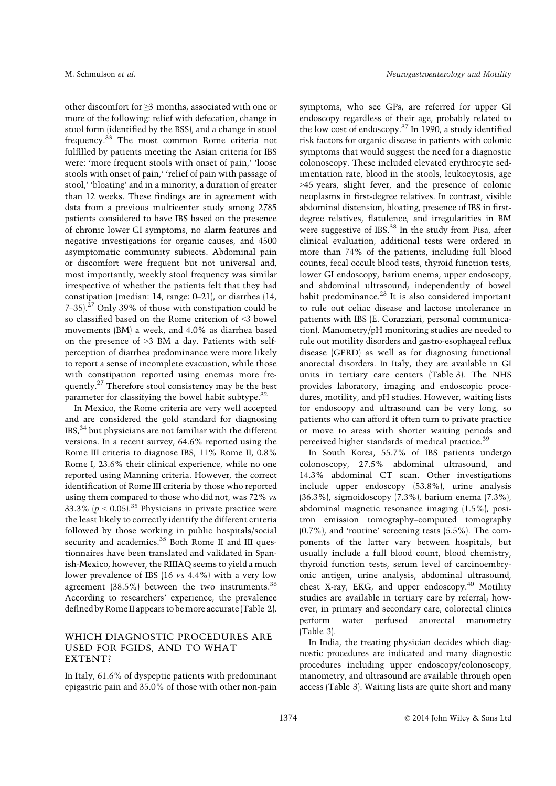other discomfort for ≥3 months, associated with one or more of the following: relief with defecation, change in stool form (identified by the BSS), and a change in stool frequency.<sup>33</sup> The most common Rome criteria not fulfilled by patients meeting the Asian criteria for IBS were: 'more frequent stools with onset of pain,' 'loose stools with onset of pain,' 'relief of pain with passage of stool,' 'bloating' and in a minority, a duration of greater than 12 weeks. These findings are in agreement with data from a previous multicenter study among 2785 patients considered to have IBS based on the presence of chronic lower GI symptoms, no alarm features and negative investigations for organic causes, and 4500 asymptomatic community subjects. Abdominal pain or discomfort were frequent but not universal and, most importantly, weekly stool frequency was similar irrespective of whether the patients felt that they had constipation (median: 14, range: 0–21), or diarrhea (14,  $7-35$ ).<sup>27</sup> Only 39% of those with constipation could be so classified based on the Rome criterion of <3 bowel movements (BM) a week, and 4.0% as diarrhea based on the presence of >3 BM a day. Patients with selfperception of diarrhea predominance were more likely to report a sense of incomplete evacuation, while those with constipation reported using enemas more frequently.<sup>27</sup> Therefore stool consistency may be the best parameter for classifying the bowel habit subtype.<sup>32</sup>

In Mexico, the Rome criteria are very well accepted and are considered the gold standard for diagnosing  $IBS<sub>1</sub><sup>34</sup>$  but physicians are not familiar with the different versions. In a recent survey, 64.6% reported using the Rome III criteria to diagnose IBS, 11% Rome II, 0.8% Rome I, 23.6% their clinical experience, while no one reported using Manning criteria. However, the correct identification of Rome III criteria by those who reported using them compared to those who did not, was 72% vs 33.3% ( $p < 0.05$ ).<sup>35</sup> Physicians in private practice were the least likely to correctly identify the different criteria followed by those working in public hospitals/social security and academics.<sup>35</sup> Both Rome II and III questionnaires have been translated and validated in Spanish-Mexico, however, the RIIIAQ seems to yield a much lower prevalence of IBS (16 vs 4.4%) with a very low agreement  $(38.5\%)$  between the two instruments.<sup>36</sup> According to researchers' experience, the prevalence defined by Rome II appears to bemore accurate (Table 2).

### WHICH DIAGNOSTIC PROCEDURES ARE USED FOR FGIDS, AND TO WHAT EXTENT?

In Italy, 61.6% of dyspeptic patients with predominant epigastric pain and 35.0% of those with other non-pain

symptoms, who see GPs, are referred for upper GI endoscopy regardless of their age, probably related to the low cost of endoscopy.<sup>37</sup> In 1990, a study identified risk factors for organic disease in patients with colonic symptoms that would suggest the need for a diagnostic colonoscopy. These included elevated erythrocyte sedimentation rate, blood in the stools, leukocytosis, age >45 years, slight fever, and the presence of colonic neoplasms in first-degree relatives. In contrast, visible abdominal distension, bloating, presence of IBS in firstdegree relatives, flatulence, and irregularities in BM were suggestive of IBS.<sup>38</sup> In the study from Pisa, after clinical evaluation, additional tests were ordered in more than 74% of the patients, including full blood counts, fecal occult blood tests, thyroid function tests, lower GI endoscopy, barium enema, upper endoscopy, and abdominal ultrasound; independently of bowel habit predominance. $^{23}$  It is also considered important to rule out celiac disease and lactose intolerance in patients with IBS (E. Corazziari, personal communication). Manometry/pH monitoring studies are needed to rule out motility disorders and gastro-esophageal reflux disease (GERD) as well as for diagnosing functional anorectal disorders. In Italy, they are available in GI units in tertiary care centers (Table 3). The NHS provides laboratory, imaging and endoscopic procedures, motility, and pH studies. However, waiting lists for endoscopy and ultrasound can be very long, so patients who can afford it often turn to private practice or move to areas with shorter waiting periods and perceived higher standards of medical practice.39

In South Korea, 55.7% of IBS patients undergo colonoscopy, 27.5% abdominal ultrasound, and 14.3% abdominal CT scan. Other investigations include upper endoscopy (53.8%), urine analysis (36.3%), sigmoidoscopy (7.3%), barium enema (7.3%), abdominal magnetic resonance imaging (1.5%), positron emission tomography–computed tomography (0.7%), and 'routine' screening tests (5.5%). The components of the latter vary between hospitals, but usually include a full blood count, blood chemistry, thyroid function tests, serum level of carcinoembryonic antigen, urine analysis, abdominal ultrasound, chest X-ray, EKG, and upper endoscopy. $40$  Motility studies are available in tertiary care by referral; however, in primary and secondary care, colorectal clinics perform water perfused anorectal manometry (Table 3).

In India, the treating physician decides which diagnostic procedures are indicated and many diagnostic procedures including upper endoscopy/colonoscopy, manometry, and ultrasound are available through open access (Table 3). Waiting lists are quite short and many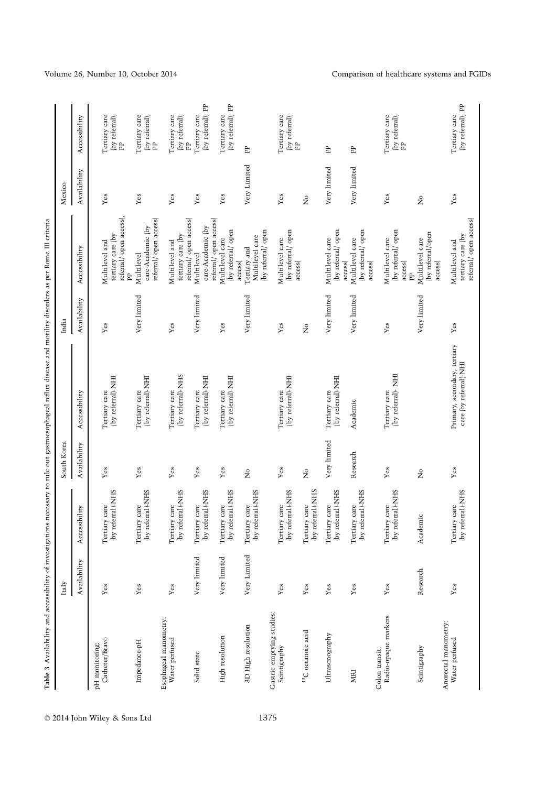|                                           | Italy        |                                    | South Korea                    | Table 3 Availability and accessibility of investigations necessary to rule out gastroesophageal reflux disease and motility disorders as per Rome III criteria | India                          |                                                                    | Mexico                         |                                              |
|-------------------------------------------|--------------|------------------------------------|--------------------------------|----------------------------------------------------------------------------------------------------------------------------------------------------------------|--------------------------------|--------------------------------------------------------------------|--------------------------------|----------------------------------------------|
|                                           | Availability | Accessibility                      | Availability                   | Accessibility                                                                                                                                                  | Availability                   | Accessibility                                                      | Availability                   | Accessibility                                |
| Catheter/Bravo<br>pH monitoring:          | Yes          | (by referral)-NHS<br>Tertiary care | ${\bf Yes}$                    | (by referral)-NHI<br>Tertiary care                                                                                                                             | Yes                            | referral/open access),<br>tertiary care (by<br>Multilevel and<br>È | Yes                            | (by referral),<br>Tertiary care<br>$\rm{P}P$ |
| Impedance-pH                              | Yes          | (by referral)-NHS<br>Tertiary care | Yes                            | (by referral)-NHI<br>Tertiary care                                                                                                                             | Very limited                   | referral/ open access)<br>care-Academic (by<br>Multilevel          | Yes                            | Tertiary care<br>(by referral),<br>$\rm PP$  |
| Esophageal manometry:<br>Water perfused   | Yes          | (by referral)-NHS<br>Tertiary care | Yes                            | (by referral)-NHS<br>Tertiary care                                                                                                                             | Yes                            | tertiary care (by<br>Multilevel and                                | Yes                            | Tertiary care<br>(by referral),              |
| Solid state                               | Very limited | (by referral)-NHS<br>Tertiary care | ${\it Yes}$                    | (by referral)-NHI<br>Tertiary care                                                                                                                             | Very limited                   | referral/ open access)<br>care-Academic (by<br>Multilevel          | ${\it Yes}$                    | (by referral), PP<br>Tertiary care<br>PP     |
| High resolution                           | Very limited | (by referral)-NHS<br>Tertiary care | ${\bf Yes}$                    | (by referral)-NHI<br>Tertiary care                                                                                                                             | Yes                            | referral/ open access)<br>(by referral/open<br>Multilevel care     | Yes                            | (by referral), PP<br>Tertiary care           |
| 3D High resolution                        | Very Limited | (by referral)-NHS<br>Tertiary care | $\stackrel{\circ}{\mathbf{Z}}$ |                                                                                                                                                                | Very limited                   | (by referral/open<br>Multilevel care<br>Tertiary and<br>access     | Very Limited                   | PP                                           |
| Gastric emptying studies:<br>Scintigraphy | ${\bf Yes}$  | (by referral)-NHS<br>Tertiary care | ${\it Yes}$                    | (by referral)-NHI<br>Tertiary care                                                                                                                             | Yes                            | (by referral/open<br>Multilevel care                               | ${\it Yes}$                    | Tertiary care<br>(by referral),<br>$\rm PP$  |
| $^{13}$ C octanoic acid                   | Yes          | (by referral)-NHS<br>Tertiary care | $\stackrel{\circ}{\mathbf{Z}}$ |                                                                                                                                                                | $\mathop{\mathsf{S}}\nolimits$ | access)                                                            | $\stackrel{\circ}{\mathsf{Z}}$ |                                              |
| Ultrasonography                           | ${\bf Yes}$  | (by referral)-NHS<br>Tertiary care | Very limited                   | (by referral)-NHI<br>Tertiary care                                                                                                                             | Very limited                   | (by referral/open<br>Multilevel care                               | Very limited                   | PP                                           |
| <b>MRI</b>                                | Yes          | (by referral)-NHS<br>Tertiary care | Research                       | Academic                                                                                                                                                       | Very limited                   | (by referral/open<br>Multilevel care<br>access)<br>access)         | Very limited                   | $\rm{P}P$                                    |
| Radio-opaque markers<br>Colon transit:    | Yes          | (by referral)-NHS<br>Tertiary care | Yes                            | (by referral)- NHI<br>Tertiary care                                                                                                                            | $_{\rm Yes}$                   | (by referral/open<br>Multilevel care<br>access)                    | Yes                            | Tertiary care<br>(by referral), ${\rm PP}$   |
| Scintigraphy                              | Research     | Academic                           | $\mathsf{S}^{\mathsf{O}}$      |                                                                                                                                                                | Very limited                   | (by referral/open<br>Multilevel care<br>access)<br>$\rm{P}$        | $\frac{1}{2}$                  |                                              |
| Anorectal manometry:<br>Water perfused    | Yes          | (by referral)-NHS<br>Tertiary care | Yes                            | Primary, secondary, tertiary<br>care (by referral)-NHI                                                                                                         | Yes                            | referral/ open access)<br>tertiary care (by<br>Multilevel and      | ${\it Yes}$                    | (by referral), PP<br>Tertiary care           |

© 2014 John Wiley & Sons Ltd 1375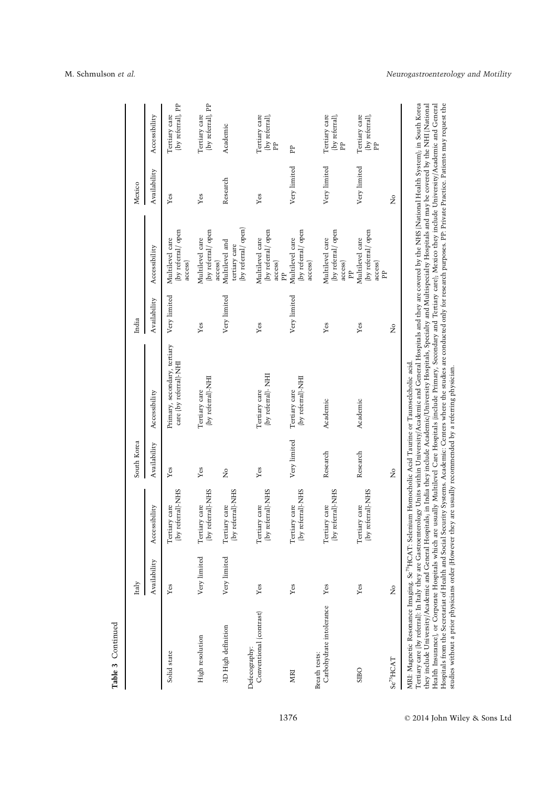|                                                                                                                                                                                                                              | Italy        |                                    | South Korea  |                                                                                                                                                                                                                                                                                                                                                                                                                                                                                                                                                                                                                                                                                                                                                                                                   | India        |                                                       | Mexico       |                                            |
|------------------------------------------------------------------------------------------------------------------------------------------------------------------------------------------------------------------------------|--------------|------------------------------------|--------------|---------------------------------------------------------------------------------------------------------------------------------------------------------------------------------------------------------------------------------------------------------------------------------------------------------------------------------------------------------------------------------------------------------------------------------------------------------------------------------------------------------------------------------------------------------------------------------------------------------------------------------------------------------------------------------------------------------------------------------------------------------------------------------------------------|--------------|-------------------------------------------------------|--------------|--------------------------------------------|
|                                                                                                                                                                                                                              | Availability | Accessibility                      | Availability | Accessibility                                                                                                                                                                                                                                                                                                                                                                                                                                                                                                                                                                                                                                                                                                                                                                                     | Availability | Accessibility                                         | Availability | Accessibility                              |
| Solid state                                                                                                                                                                                                                  | Yes          | (by referral)-NHS<br>Tertiary care | Yes          | Primary, secondary, tertiary<br>care (by referral)-NHI                                                                                                                                                                                                                                                                                                                                                                                                                                                                                                                                                                                                                                                                                                                                            | Very limited | (by referral/open<br>Multilevel care<br>access)       | Yes          | (by referral), PP<br>Tertiary care         |
| High resolution                                                                                                                                                                                                              | Very limited | (by referral)-NHS<br>Tertiary care | Yes          | (by referral)-NHI<br>Tertiary care                                                                                                                                                                                                                                                                                                                                                                                                                                                                                                                                                                                                                                                                                                                                                                | Yes          | (by referral/open<br>Multilevel care<br>access)       | Yes          | (by referral), PP<br>Tertiary care         |
| 3D High definition                                                                                                                                                                                                           | Very limited | (by referral)-NHS<br>Tertiary care | $\tilde{z}$  |                                                                                                                                                                                                                                                                                                                                                                                                                                                                                                                                                                                                                                                                                                                                                                                                   | Very limited | (by referral/open)<br>Multilevel and<br>tertiary care | Research     | Academic                                   |
| Conventional (contrast)<br>Defecography:                                                                                                                                                                                     | Yes          | (by referral)-NHS<br>Tertiary care | Yes          | (by referral)- NHI<br>Tertiary care                                                                                                                                                                                                                                                                                                                                                                                                                                                                                                                                                                                                                                                                                                                                                               | Yes          | (by referral/open<br>Multilevel care<br>access)<br>PP | Yes          | Tertiary care<br>(by referral), ${\rm PP}$ |
| MRI                                                                                                                                                                                                                          | Yes          | (by referral)-NHS<br>Tertiary care | Very limited | (by referral)-NHI<br>Tertiary care                                                                                                                                                                                                                                                                                                                                                                                                                                                                                                                                                                                                                                                                                                                                                                | Very limited | (by referral/open<br>Multilevel care<br>access)       | Very limited | PP                                         |
| Carbohydrate intolerance<br>Breath tests:                                                                                                                                                                                    | Yes          | (by referral)-NHS<br>Tertiary care | Research     | Academic                                                                                                                                                                                                                                                                                                                                                                                                                                                                                                                                                                                                                                                                                                                                                                                          | Yes          | (by referral/open<br>Multilevel care<br>access)<br>PP | Very limited | Tertiary care<br>(by referral),<br>PP      |
| <b>SBO</b>                                                                                                                                                                                                                   | Yes          | (by referral)-NHS<br>Tertiary care | Research     | Academic                                                                                                                                                                                                                                                                                                                                                                                                                                                                                                                                                                                                                                                                                                                                                                                          | Yes          | (by referral/open<br>Multilevel care<br>access)<br>È  | Very limited | Tertiary care<br>(by referral), ${\rm PP}$ |
| Se <sup>75</sup> HCAT                                                                                                                                                                                                        | $\tilde{z}$  |                                    | ž            |                                                                                                                                                                                                                                                                                                                                                                                                                                                                                                                                                                                                                                                                                                                                                                                                   | ž            |                                                       | $\tilde{z}$  |                                            |
| MRI: Magnetic Resonance Imaging, Se <sup>75</sup> HCAT: Selenium Homocholic Acid Taurine or Tauroselcholic acid.<br>studies without a prior physicians order (However they are usually recommended by a referring physician. |              |                                    |              | Hospitals from the Secretariat of Health and Social Security Systems. Academic: Centers where the studies are conducted only for research purposes. PP: Pirvate Practice. Patients may request the<br>Tertiary care (by referral): In Italy they are Gastroenterology Units within University/Academic and General Hospitals and they are covered by the NHS (National Health System); in South Korea<br>they include University/Academic and General Hospitals, in India they include Academic/University Hospitals, Specialty and Multispecialty Hospitals and may be covered by the NHI (National<br>Health Insurance), or Corporate Hospitals which are usually Multilevel Care Hospitals (include Primary, Secondary and Tertiary care); Mexico they include University/Academic and General |              |                                                       |              |                                            |

Table 3 Continued

Table 3 Continued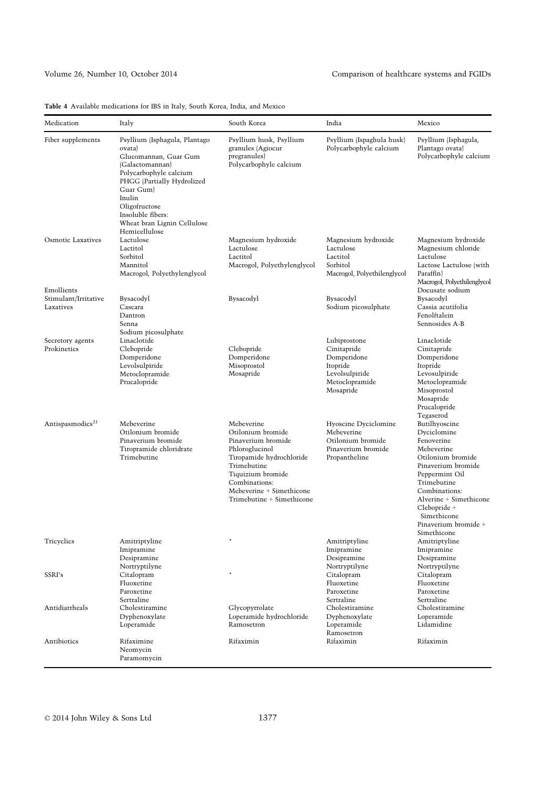| Medication                                      | Italy                                                                                                                                                                                                                                                    | South Korea                                                                                                                                                                                                       | India                                                                                                   | Mexico                                                                                                                                                                                                                                              |
|-------------------------------------------------|----------------------------------------------------------------------------------------------------------------------------------------------------------------------------------------------------------------------------------------------------------|-------------------------------------------------------------------------------------------------------------------------------------------------------------------------------------------------------------------|---------------------------------------------------------------------------------------------------------|-----------------------------------------------------------------------------------------------------------------------------------------------------------------------------------------------------------------------------------------------------|
| Fiber supplements                               | Psyllium (Isphagula, Plantago<br>ovata)<br>Glucomannan, Guar Gum<br>(Galactomannan)<br>Polycarbophyle calcium<br>PHGG (Partially Hydrolized<br>Guar Gum)<br>Inulin<br>Oligofructose<br>Insoluble fibers:<br>Wheat bran Lignin Cellulose<br>Hemicellulose | Psyllium husk, Psyllium<br>granules (Agiocur<br>pregranules)<br>Polycarbophyle calcium                                                                                                                            | Psyllium (Ispaghula husk)<br>Polycarbophyle calcium                                                     | Psyllium (Isphagula,<br>Plantago ovata)<br>Polycarbophyle calcium                                                                                                                                                                                   |
| Osmotic Laxatives                               | Lactulose<br>Lactitol<br>Sorbitol<br>Mannitol<br>Macrogol, Polyethylenglycol                                                                                                                                                                             | Magnesium hydroxide<br>Lactulose<br>Lactitol<br>Macrogol, Polyethylenglycol                                                                                                                                       | Magnesium hydroxide<br>Lactulose<br>Lactitol<br>Sorbitol<br>Macrogol, Polyethilenglycol                 | Magnesium hydroxide<br>Magnesium chloride<br>Lactulose<br>Lactose Lactulose (with<br>Paraffin)<br>Macrogol, Polyethilenglycol                                                                                                                       |
| Emollients<br>Stimulant/Irritative<br>Laxatives | Bysacodyl<br>Cascara<br>Dantron<br>Senna<br>Sodium picosulphate                                                                                                                                                                                          | Bysacodyl                                                                                                                                                                                                         | Bysacodyl<br>Sodium picosulphate                                                                        | Docusate sodium<br>Bysacodyl<br>Cassia acutifolia<br>Fenolftalein<br>Sennosides A-B                                                                                                                                                                 |
| Secretory agents<br>Prokinetics                 | Linaclotide<br>Clebopride<br>Domperidone<br>Levolsulpiride<br>Metoclopramide<br>Prucalopride                                                                                                                                                             | Clebopride<br>Domperidone<br>Misoprostol<br>Mosapride                                                                                                                                                             | Lubiprostone<br>Cinitapride<br>Domperidone<br>Itopride<br>Levolsulpiride<br>Metoclopramide<br>Mosapride | Linaclotide<br>Cinitapride<br>Domperidone<br>Itopride<br>Levosulpiride<br>Metoclopramide<br>Misoprostol<br>Mosapride<br>Prucalopride                                                                                                                |
| Antispasmodics <sup>21</sup>                    | Mebeverine<br>Otilonium bromide<br>Pinaverium bromide<br>Tiropramide chloridrate<br>Trimebutine                                                                                                                                                          | Mebeverine<br>Otilonium bromide<br>Pinaverium bromide<br>Phloroglucinol<br>Tiropamide hydrochloride<br>Trimebutine<br>Tiquizium bromide<br>Combinations:<br>Mebeverine + Simethicone<br>Trimebutine + Simethicone | Hyoscine Dyciclomine<br>Mebeverine<br>Otilonium bromide<br>Pinaverium bromide<br>Propantheline          | Tegaserod<br>Butilhyoscine<br>Dyciclomine<br>Fenoverine<br>Mebeverine<br>Otilonium bromide<br>Pinaverium bromide<br>Peppermint Oil<br>Trimebutine<br>Combinations:<br>Alverine + Simethicone<br>Clebopride +<br>Simethicone<br>Pinaverium bromide + |
| Tricyclics                                      | Amitriptyline<br>Imipramine<br>Desipramine                                                                                                                                                                                                               | $\star$                                                                                                                                                                                                           | Amitriptyline<br>Imipramine                                                                             | Simethicone<br>Amitriptyline<br>Imipramine                                                                                                                                                                                                          |
| SSRI's                                          | Nortryptilyne<br>Citalopram<br>Fluoxetine<br>Paroxetine                                                                                                                                                                                                  |                                                                                                                                                                                                                   | Desipramine<br>Nortryptilyne<br>Citalopram<br>Fluoxetine<br>Paroxetine                                  | Desipramine<br>Nortryptilyne<br>Citalopram<br>Fluoxetine<br>Paroxetine                                                                                                                                                                              |
| Antidiarrheals                                  | Sertraline<br>Cholestiramine<br>Dyphenoxylate<br>Loperamide                                                                                                                                                                                              | Glycopyrrolate<br>Loperamide hydrochloride<br>Ramosetron                                                                                                                                                          | Sertraline<br>Cholestiramine<br>Dyphenoxylate<br>Loperamide                                             | Sertraline<br>Cholestiramine<br>Loperamide<br>Lidamidine                                                                                                                                                                                            |
| Antibiotics                                     | Rifaximine<br>Neomycin<br>Paramomycin                                                                                                                                                                                                                    | Rifaximin                                                                                                                                                                                                         | Ramosetron<br>Rifaximin                                                                                 | Rifaximin                                                                                                                                                                                                                                           |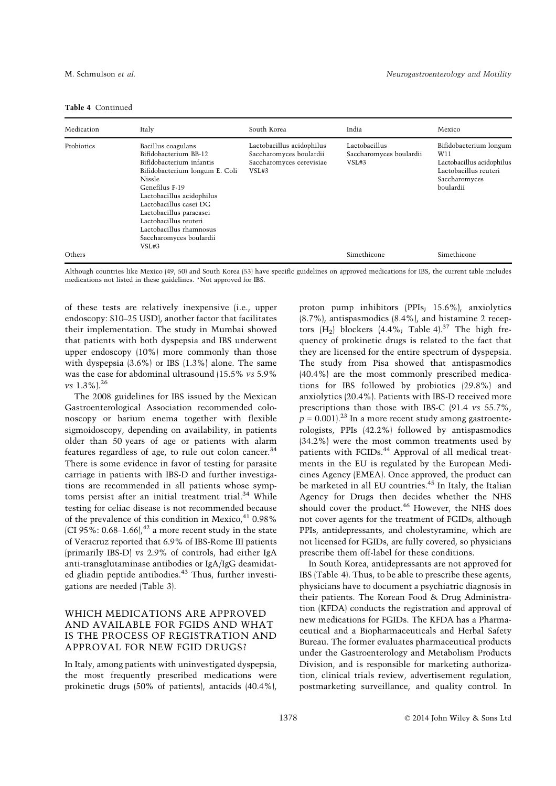| Medication | Italy                                                                                                                                                                                                                                                                                                                  | South Korea                                                                               | India                                             | Mexico                                                                                                            |
|------------|------------------------------------------------------------------------------------------------------------------------------------------------------------------------------------------------------------------------------------------------------------------------------------------------------------------------|-------------------------------------------------------------------------------------------|---------------------------------------------------|-------------------------------------------------------------------------------------------------------------------|
| Probiotics | Bacillus coagulans<br>Bifidobacterium BB-12<br>Bifidobacterium infantis<br>Bifidobacterium longum E. Coli<br><b>Nissle</b><br>Genefilus F-19<br>Lactobacillus acidophilus<br>Lactobacillus casei DG<br>Lactobacillus paracasei<br>Lactobacillus reuteri<br>Lactobacillus rhamnosus<br>Saccharomyces boulardii<br>VSL#3 | Lactobacillus acidophilus<br>Saccharomyces boulardii<br>Saccharomyces cerevisiae<br>VSL#3 | Lactobacillus<br>Saccharomyces boulardii<br>VSL#3 | Bifidobacterium longum<br>W11<br>Lactobacillus acidophilus<br>Lactobacillus reuteri<br>Saccharomyces<br>boulardii |
| Others     |                                                                                                                                                                                                                                                                                                                        |                                                                                           | Simethicone                                       | Simethicone                                                                                                       |

Although countries like Mexico (49, 50) and South Korea (53) have specific guidelines on approved medications for IBS, the current table includes medications not listed in these guidelines. \*Not approved for IBS.

of these tests are relatively inexpensive (i.e., upper endoscopy: \$10–25 USD), another factor that facilitates their implementation. The study in Mumbai showed that patients with both dyspepsia and IBS underwent upper endoscopy (10%) more commonly than those with dyspepsia (3.6%) or IBS (1.3%) alone. The same was the case for abdominal ultrasound (15.5% vs 5.9%  $vs$  1.3%).<sup>26</sup>

The 2008 guidelines for IBS issued by the Mexican Gastroenterological Association recommended colonoscopy or barium enema together with flexible sigmoidoscopy, depending on availability, in patients older than 50 years of age or patients with alarm features regardless of age, to rule out colon cancer.<sup>34</sup> There is some evidence in favor of testing for parasite carriage in patients with IBS-D and further investigations are recommended in all patients whose symptoms persist after an initial treatment trial.<sup>34</sup> While testing for celiac disease is not recommended because of the prevalence of this condition in Mexico, $41$  0.98% (CI 95%:  $0.68-1.66$ ),<sup>42</sup> a more recent study in the state of Veracruz reported that 6.9% of IBS-Rome III patients (primarily IBS-D) vs 2.9% of controls, had either IgA anti-transglutaminase antibodies or IgA/IgG deamidated gliadin peptide antibodies.<sup>43</sup> Thus, further investigations are needed (Table 3).

### WHICH MEDICATIONS ARE APPROVED AND AVAILABLE FOR FGIDS AND WHAT IS THE PROCESS OF REGISTRATION AND APPROVAL FOR NEW FGID DRUGS?

In Italy, among patients with uninvestigated dyspepsia, the most frequently prescribed medications were prokinetic drugs (50% of patients), antacids (40.4%),

proton pump inhibitors (PPIs; 15.6%), anxiolytics (8.7%), antispasmodics (8.4%), and histamine 2 receptors  $(H<sub>2</sub>)$  blockers (4.4%; Table 4).<sup>37</sup> The high frequency of prokinetic drugs is related to the fact that they are licensed for the entire spectrum of dyspepsia. The study from Pisa showed that antispasmodics (40.4%) are the most commonly prescribed medications for IBS followed by probiotics (29.8%) and anxiolytics (20.4%). Patients with IBS-D received more prescriptions than those with IBS-C (91.4 vs 55.7%,  $p = 0.001$ .<sup>23</sup> In a more recent study among gastroenterologists, PPIs (42.2%) followed by antispasmodics (34.2%) were the most common treatments used by patients with FGIDs.<sup>44</sup> Approval of all medical treatments in the EU is regulated by the European Medicines Agency (EMEA). Once approved, the product can be marketed in all EU countries.<sup>45</sup> In Italy, the Italian Agency for Drugs then decides whether the NHS should cover the product.<sup>46</sup> However, the NHS does not cover agents for the treatment of FGIDs, although PPIs, antidepressants, and cholestyramine, which are not licensed for FGIDs, are fully covered, so physicians prescribe them off-label for these conditions.

In South Korea, antidepressants are not approved for IBS (Table 4). Thus, to be able to prescribe these agents, physicians have to document a psychiatric diagnosis in their patients. The Korean Food & Drug Administration (KFDA) conducts the registration and approval of new medications for FGIDs. The KFDA has a Pharmaceutical and a Biopharmaceuticals and Herbal Safety Bureau. The former evaluates pharmaceutical products under the Gastroenterology and Metabolism Products Division, and is responsible for marketing authorization, clinical trials review, advertisement regulation, postmarketing surveillance, and quality control. In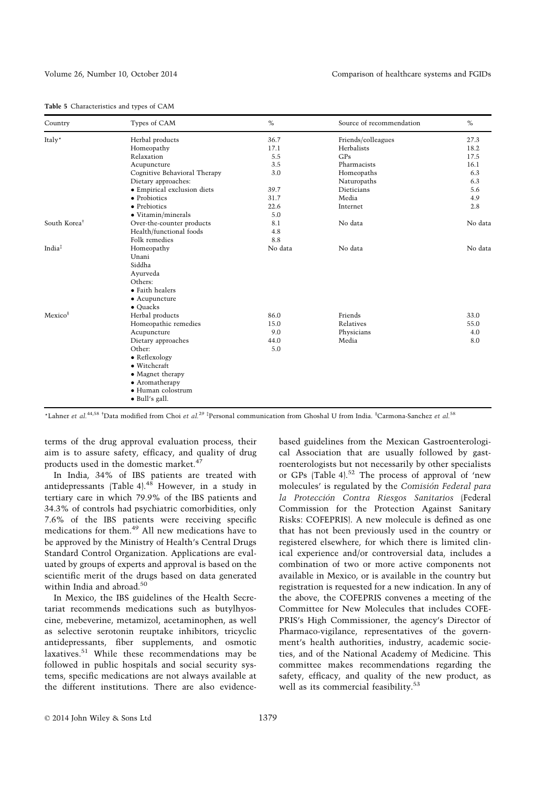|  | Table 5 Characteristics and types of CAM |  |  |  |  |
|--|------------------------------------------|--|--|--|--|
|--|------------------------------------------|--|--|--|--|

| Country                  | Types of CAM                 | $\%$    | Source of recommendation | $\%$    |
|--------------------------|------------------------------|---------|--------------------------|---------|
| Italy*                   | Herbal products              | 36.7    | Friends/colleagues       | 27.3    |
|                          | Homeopathy                   | 17.1    | Herbalists               | 18.2    |
|                          | Relaxation                   | 5.5     | GPs                      | 17.5    |
|                          | Acupuncture                  | 3.5     | Pharmacists              | 16.1    |
|                          | Cognitive Behavioral Therapy | 3.0     | Homeopaths               | 6.3     |
|                          | Dietary approaches:          |         | Naturopaths              | 6.3     |
|                          | • Empirical exclusion diets  | 39.7    | Dieticians               | 5.6     |
|                          | • Probiotics                 | 31.7    | Media                    | 4.9     |
|                          | • Prebiotics                 | 22.6    | Internet                 | 2.8     |
|                          | • Vitamin/minerals           | 5.0     |                          |         |
| South Korea <sup>†</sup> | Over-the-counter products    | 8.1     | No data                  | No data |
|                          | Health/functional foods      | 4.8     |                          |         |
|                          | Folk remedies                | 8.8     |                          |         |
| Indi $a^{\ddagger}$      | Homeopathy                   | No data | No data                  | No data |
|                          | Unani                        |         |                          |         |
|                          | Siddha                       |         |                          |         |
|                          | Ayurveda                     |         |                          |         |
|                          | Others:                      |         |                          |         |
|                          | • Faith healers              |         |                          |         |
|                          | $\bullet$ Acupuncture        |         |                          |         |
|                          | • Quacks                     |         |                          |         |
| Mexico <sup>§</sup>      | Herbal products              | 86.0    | Friends                  | 33.0    |
|                          | Homeopathic remedies         | 15.0    | Relatives                | 55.0    |
|                          | Acupuncture                  | 9.0     | Physicians               | 4.0     |
|                          | Dietary approaches           | 44.0    | Media                    | 8.0     |
|                          | Other:                       | 5.0     |                          |         |
|                          | • Reflexology                |         |                          |         |
|                          | · Witchcraft                 |         |                          |         |
|                          | • Magnet therapy             |         |                          |         |
|                          | • Aromatherapy               |         |                          |         |
|                          | · Human colostrum            |         |                          |         |
|                          | $\bullet$ Bull's gall.       |         |                          |         |
|                          |                              |         |                          |         |

\*Lahner et al.<sup>44,58</sup> †Data modified from Choi et al.<sup>29</sup> ‡Personal communication from Ghoshal U from India. <sup>§</sup>Carmona-Sanchez et al.<sup>58</sup>

terms of the drug approval evaluation process, their aim is to assure safety, efficacy, and quality of drug products used in the domestic market.<sup>47</sup>

In India, 34% of IBS patients are treated with antidepressants (Table 4). $48$  However, in a study in tertiary care in which 79.9% of the IBS patients and 34.3% of controls had psychiatric comorbidities, only 7.6% of the IBS patients were receiving specific medications for them.<sup>49</sup> All new medications have to be approved by the Ministry of Health's Central Drugs Standard Control Organization. Applications are evaluated by groups of experts and approval is based on the scientific merit of the drugs based on data generated within India and abroad.<sup>50</sup>

In Mexico, the IBS guidelines of the Health Secretariat recommends medications such as butylhyoscine, mebeverine, metamizol, acetaminophen, as well as selective serotonin reuptake inhibitors, tricyclic antidepressants, fiber supplements, and osmotic laxatives.51 While these recommendations may be followed in public hospitals and social security systems, specific medications are not always available at the different institutions. There are also evidencebased guidelines from the Mexican Gastroenterological Association that are usually followed by gastroenterologists but not necessarily by other specialists or GPs (Table 4). $52$  The process of approval of 'new molecules' is regulated by the Comisión Federal para la Protección Contra Riesgos Sanitarios (Federal Commission for the Protection Against Sanitary Risks: COFEPRIS). A new molecule is defined as one that has not been previously used in the country or registered elsewhere, for which there is limited clinical experience and/or controversial data, includes a combination of two or more active components not available in Mexico, or is available in the country but registration is requested for a new indication. In any of the above, the COFEPRIS convenes a meeting of the Committee for New Molecules that includes COFE-PRIS's High Commissioner, the agency's Director of Pharmaco-vigilance, representatives of the government's health authorities, industry, academic societies, and of the National Academy of Medicine. This committee makes recommendations regarding the safety, efficacy, and quality of the new product, as well as its commercial feasibility.<sup>53</sup>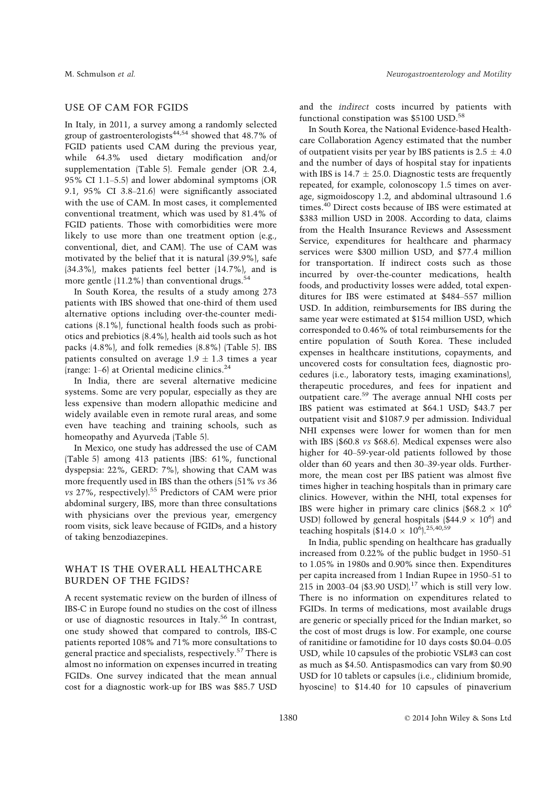### USE OF CAM FOR FGIDS

In Italy, in 2011, a survey among a randomly selected group of gastroenterologists $44,54$  showed that 48.7% of FGID patients used CAM during the previous year, while 64.3% used dietary modification and/or supplementation (Table 5). Female gender (OR 2.4, 95% CI 1.1–5.5) and lower abdominal symptoms (OR 9.1, 95% CI 3.8–21.6) were significantly associated with the use of CAM. In most cases, it complemented conventional treatment, which was used by 81.4% of FGID patients. Those with comorbidities were more likely to use more than one treatment option (e.g., conventional, diet, and CAM). The use of CAM was motivated by the belief that it is natural (39.9%), safe (34.3%), makes patients feel better (14.7%), and is more gentle  $(11.2\%)$  than conventional drugs.<sup>54</sup>

In South Korea, the results of a study among 273 patients with IBS showed that one-third of them used alternative options including over-the-counter medications (8.1%), functional health foods such as probiotics and prebiotics (8.4%), health aid tools such as hot packs (4.8%), and folk remedies (8.8%) (Table 5). IBS patients consulted on average  $1.9 \pm 1.3$  times a year (range: 1–6) at Oriental medicine clinics.<sup>24</sup>

In India, there are several alternative medicine systems. Some are very popular, especially as they are less expensive than modern allopathic medicine and widely available even in remote rural areas, and some even have teaching and training schools, such as homeopathy and Ayurveda (Table 5).

In Mexico, one study has addressed the use of CAM (Table 5) among 413 patients (IBS: 61%, functional dyspepsia: 22%, GERD: 7%), showing that CAM was more frequently used in IBS than the others (51% vs 36 vs 27%, respectively).<sup>55</sup> Predictors of CAM were prior abdominal surgery, IBS, more than three consultations with physicians over the previous year, emergency room visits, sick leave because of FGIDs, and a history of taking benzodiazepines.

### WHAT IS THE OVERALL HEALTHCARE BURDEN OF THE FGIDS?

A recent systematic review on the burden of illness of IBS-C in Europe found no studies on the cost of illness or use of diagnostic resources in Italy.56 In contrast, one study showed that compared to controls, IBS-C patients reported 108% and 71% more consultations to general practice and specialists, respectively.<sup>57</sup> There is almost no information on expenses incurred in treating FGIDs. One survey indicated that the mean annual cost for a diagnostic work-up for IBS was \$85.7 USD

and the indirect costs incurred by patients with functional constipation was \$5100 USD.58

In South Korea, the National Evidence-based Healthcare Collaboration Agency estimated that the number of outpatient visits per year by IBS patients is  $2.5 \pm 4.0$ and the number of days of hospital stay for inpatients with IBS is 14.7  $\pm$  25.0. Diagnostic tests are frequently repeated, for example, colonoscopy 1.5 times on average, sigmoidoscopy 1.2, and abdominal ultrasound 1.6 times.<sup>40</sup> Direct costs because of IBS were estimated at \$383 million USD in 2008. According to data, claims from the Health Insurance Reviews and Assessment Service, expenditures for healthcare and pharmacy services were \$300 million USD, and \$77.4 million for transportation. If indirect costs such as those incurred by over-the-counter medications, health foods, and productivity losses were added, total expenditures for IBS were estimated at \$484–557 million USD. In addition, reimbursements for IBS during the same year were estimated at \$154 million USD, which corresponded to 0.46% of total reimbursements for the entire population of South Korea. These included expenses in healthcare institutions, copayments, and uncovered costs for consultation fees, diagnostic procedures (i.e., laboratory tests, imaging examinations), therapeutic procedures, and fees for inpatient and outpatient care.59 The average annual NHI costs per IBS patient was estimated at \$64.1 USD; \$43.7 per outpatient visit and \$1087.9 per admission. Individual NHI expenses were lower for women than for men with IBS (\$60.8 vs \$68.6). Medical expenses were also higher for 40–59-year-old patients followed by those older than 60 years and then 30–39-year olds. Furthermore, the mean cost per IBS patient was almost five times higher in teaching hospitals than in primary care clinics. However, within the NHI, total expenses for IBS were higher in primary care clinics (\$68.2  $\times$  10<sup>6</sup> USD) followed by general hospitals (\$44.9  $\times$  10<sup>6</sup>) and teaching hospitals  $(\$14.0 \times 10^6)$ <sup>25,40,59</sup>

In India, public spending on healthcare has gradually increased from 0.22% of the public budget in 1950–51 to 1.05% in 1980s and 0.90% since then. Expenditures per capita increased from 1 Indian Rupee in 1950–51 to 215 in 2003–04 (\$3.90 USD),  $^{17}$  which is still very low. There is no information on expenditures related to FGIDs. In terms of medications, most available drugs are generic or specially priced for the Indian market, so the cost of most drugs is low. For example, one course of ranitidine or famotidine for 10 days costs \$0.04–0.05 USD, while 10 capsules of the probiotic VSL#3 can cost as much as \$4.50. Antispasmodics can vary from \$0.90 USD for 10 tablets or capsules (i.e., clidinium bromide, hyoscine) to \$14.40 for 10 capsules of pinaverium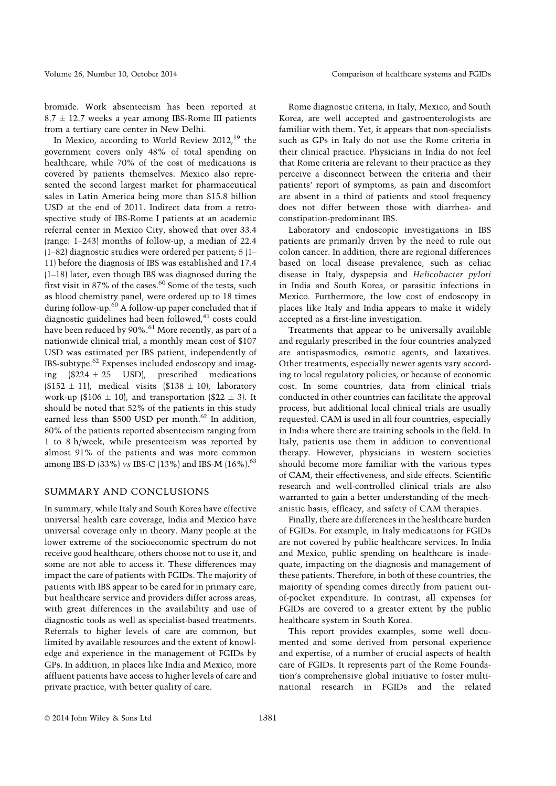bromide. Work absenteeism has been reported at  $8.7 \pm 12.7$  weeks a year among IBS-Rome III patients from a tertiary care center in New Delhi.

In Mexico, according to World Review 2012,<sup>19</sup> the government covers only 48% of total spending on healthcare, while 70% of the cost of medications is covered by patients themselves. Mexico also represented the second largest market for pharmaceutical sales in Latin America being more than \$15.8 billion USD at the end of 2011. Indirect data from a retrospective study of IBS-Rome I patients at an academic referral center in Mexico City, showed that over 33.4 (range: 1–243) months of follow-up, a median of 22.4 (1–82) diagnostic studies were ordered per patient; 5 (1– 11) before the diagnosis of IBS was established and 17.4 (1–18) later, even though IBS was diagnosed during the first visit in 87% of the cases.<sup>60</sup> Some of the tests, such as blood chemistry panel, were ordered up to 18 times during follow-up.<sup>60</sup> A follow-up paper concluded that if diagnostic guidelines had been followed,<sup>41</sup> costs could have been reduced by 90%.<sup>61</sup> More recently, as part of a nationwide clinical trial, a monthly mean cost of \$107 USD was estimated per IBS patient, independently of IBS-subtype.<sup>62</sup> Expenses included endoscopy and imaging  $($224 \pm 25$  USD, prescribed medications  $($152 \pm 11)$ , medical visits  $($138 \pm 10)$ , laboratory work-up (\$106  $\pm$  10), and transportation (\$22  $\pm$  3). It should be noted that 52% of the patients in this study earned less than \$500 USD per month.<sup>62</sup> In addition, 80% of the patients reported absenteeism ranging from 1 to 8 h/week, while presenteeism was reported by almost 91% of the patients and was more common among IBS-D (33%) vs IBS-C (13%) and IBS-M (16%).<sup>63</sup>

### SUMMARY AND CONCLUSIONS

In summary, while Italy and South Korea have effective universal health care coverage, India and Mexico have universal coverage only in theory. Many people at the lower extreme of the socioeconomic spectrum do not receive good healthcare, others choose not to use it, and some are not able to access it. These differences may impact the care of patients with FGIDs. The majority of patients with IBS appear to be cared for in primary care, but healthcare service and providers differ across areas, with great differences in the availability and use of diagnostic tools as well as specialist-based treatments. Referrals to higher levels of care are common, but limited by available resources and the extent of knowledge and experience in the management of FGIDs by GPs. In addition, in places like India and Mexico, more affluent patients have access to higher levels of care and private practice, with better quality of care.

Rome diagnostic criteria, in Italy, Mexico, and South Korea, are well accepted and gastroenterologists are familiar with them. Yet, it appears that non-specialists such as GPs in Italy do not use the Rome criteria in their clinical practice. Physicians in India do not feel that Rome criteria are relevant to their practice as they perceive a disconnect between the criteria and their patients' report of symptoms, as pain and discomfort are absent in a third of patients and stool frequency does not differ between those with diarrhea- and constipation-predominant IBS.

Laboratory and endoscopic investigations in IBS patients are primarily driven by the need to rule out colon cancer. In addition, there are regional differences based on local disease prevalence, such as celiac disease in Italy, dyspepsia and Helicobacter pylori in India and South Korea, or parasitic infections in Mexico. Furthermore, the low cost of endoscopy in places like Italy and India appears to make it widely accepted as a first-line investigation.

Treatments that appear to be universally available and regularly prescribed in the four countries analyzed are antispasmodics, osmotic agents, and laxatives. Other treatments, especially newer agents vary according to local regulatory policies, or because of economic cost. In some countries, data from clinical trials conducted in other countries can facilitate the approval process, but additional local clinical trials are usually requested. CAM is used in all four countries, especially in India where there are training schools in the field. In Italy, patients use them in addition to conventional therapy. However, physicians in western societies should become more familiar with the various types of CAM, their effectiveness, and side effects. Scientific research and well-controlled clinical trials are also warranted to gain a better understanding of the mechanistic basis, efficacy, and safety of CAM therapies.

Finally, there are differences in the healthcare burden of FGIDs. For example, in Italy medications for FGIDs are not covered by public healthcare services. In India and Mexico, public spending on healthcare is inadequate, impacting on the diagnosis and management of these patients. Therefore, in both of these countries, the majority of spending comes directly from patient outof-pocket expenditure. In contrast, all expenses for FGIDs are covered to a greater extent by the public healthcare system in South Korea.

This report provides examples, some well documented and some derived from personal experience and expertise, of a number of crucial aspects of health care of FGIDs. It represents part of the Rome Foundation's comprehensive global initiative to foster multinational research in FGIDs and the related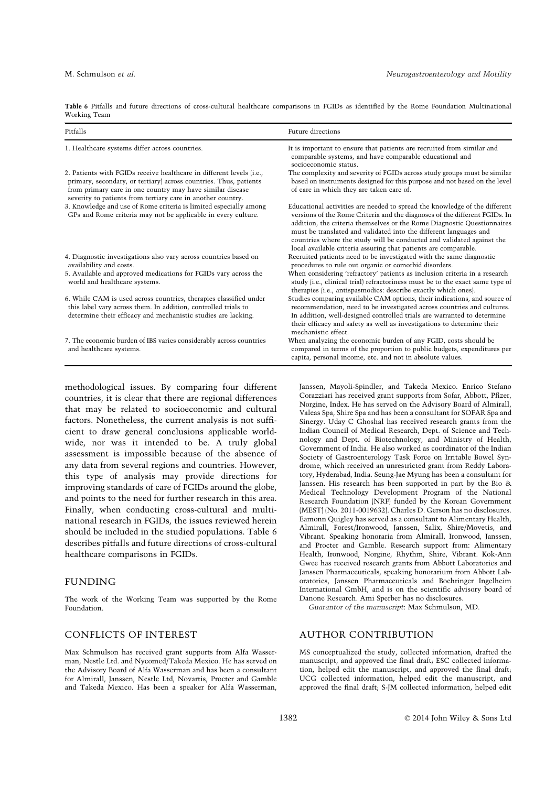Table 6 Pitfalls and future directions of cross-cultural healthcare comparisons in FGIDs as identified by the Rome Foundation Multinational Working Team

| Pitfalls                                                                                                                                                                                                                                                              | Future directions                                                                                                                                                                                                                                                                                                                                                                                                                                    |
|-----------------------------------------------------------------------------------------------------------------------------------------------------------------------------------------------------------------------------------------------------------------------|------------------------------------------------------------------------------------------------------------------------------------------------------------------------------------------------------------------------------------------------------------------------------------------------------------------------------------------------------------------------------------------------------------------------------------------------------|
| 1. Healthcare systems differ across countries.                                                                                                                                                                                                                        | It is important to ensure that patients are recruited from similar and<br>comparable systems, and have comparable educational and<br>socioeconomic status.                                                                                                                                                                                                                                                                                           |
| 2. Patients with FGIDs receive healthcare in different levels (i.e.,<br>primary, secondary, or tertiary) across countries. Thus, patients<br>from primary care in one country may have similar disease<br>severity to patients from tertiary care in another country. | The complexity and severity of FGIDs across study groups must be similar<br>based on instruments designed for this purpose and not based on the level<br>of care in which they are taken care of.                                                                                                                                                                                                                                                    |
| 3. Knowledge and use of Rome criteria is limited especially among<br>GPs and Rome criteria may not be applicable in every culture.                                                                                                                                    | Educational activities are needed to spread the knowledge of the different<br>versions of the Rome Criteria and the diagnoses of the different FGIDs. In<br>addition, the criteria themselves or the Rome Diagnostic Questionnaires<br>must be translated and validated into the different languages and<br>countries where the study will be conducted and validated against the<br>local available criteria assuring that patients are comparable. |
| 4. Diagnostic investigations also vary across countries based on<br>availability and costs.                                                                                                                                                                           | Recruited patients need to be investigated with the same diagnostic<br>procedures to rule out organic or comorbid disorders.                                                                                                                                                                                                                                                                                                                         |
| 5. Available and approved medications for FGIDs vary across the<br>world and healthcare systems.                                                                                                                                                                      | When considering 'refractory' patients as inclusion criteria in a research<br>study (i.e., clinical trial) refractoriness must be to the exact same type of<br>therapies (i.e., antispasmodics: describe exactly which ones).                                                                                                                                                                                                                        |
| 6. While CAM is used across countries, therapies classified under<br>this label vary across them. In addition, controlled trials to<br>determine their efficacy and mechanistic studies are lacking.                                                                  | Studies comparing available CAM options, their indications, and source of<br>recommendation, need to be investigated across countries and cultures.<br>In addition, well-designed controlled trials are warranted to determine<br>their efficacy and safety as well as investigations to determine their<br>mechanistic effect.                                                                                                                      |
| 7. The economic burden of IBS varies considerably across countries<br>and healthcare systems.                                                                                                                                                                         | When analyzing the economic burden of any FGID, costs should be<br>compared in terms of the proportion to public budgets, expenditures per<br>capita, personal income, etc. and not in absolute values.                                                                                                                                                                                                                                              |

methodological issues. By comparing four different countries, it is clear that there are regional differences that may be related to socioeconomic and cultural factors. Nonetheless, the current analysis is not sufficient to draw general conclusions applicable worldwide, nor was it intended to be. A truly global assessment is impossible because of the absence of any data from several regions and countries. However, this type of analysis may provide directions for improving standards of care of FGIDs around the globe, and points to the need for further research in this area. Finally, when conducting cross-cultural and multinational research in FGIDs, the issues reviewed herein should be included in the studied populations. Table 6 describes pitfalls and future directions of cross-cultural healthcare comparisons in FGIDs.

### FUNDING

The work of the Working Team was supported by the Rome Foundation.

### CONFLICTS OF INTEREST

Max Schmulson has received grant supports from Alfa Wasserman, Nestle Ltd. and Nycomed/Takeda Mexico. He has served on the Advisory Board of Alfa Wasserman and has been a consultant for Almirall, Janssen, Nestle Ltd, Novartis, Procter and Gamble and Takeda Mexico. Has been a speaker for Alfa Wasserman,

Janssen, Mayoli-Spindler, and Takeda Mexico. Enrico Stefano Corazziari has received grant supports from Sofar, Abbott, Pfizer, Norgine, Index. He has served on the Advisory Board of Almirall, Valeas Spa, Shire Spa and has been a consultant for SOFAR Spa and Sinergy. Uday C Ghoshal has received research grants from the Indian Council of Medical Research, Dept. of Science and Technology and Dept. of Biotechnology, and Ministry of Health, Government of India. He also worked as coordinator of the Indian Society of Gastroenterology Task Force on Irritable Bowel Syndrome, which received an unrestricted grant from Reddy Laboratory, Hyderabad, India. Seung-Jae Myung has been a consultant for Janssen. His research has been supported in part by the Bio & Medical Technology Development Program of the National Research Foundation (NRF) funded by the Korean Government (MEST) (No. 2011-0019632). Charles D. Gerson has no disclosures. Eamonn Quigley has served as a consultant to Alimentary Health, Almirall, Forest/Ironwood, Janssen, Salix, Shire/Movetis, and Vibrant. Speaking honoraria from Almirall, Ironwood, Janssen, and Procter and Gamble. Research support from: Alimentary Health, Ironwood, Norgine, Rhythm, Shire, Vibrant. Kok-Ann Gwee has received research grants from Abbott Laboratories and Janssen Pharmaceuticals, speaking honorarium from Abbott Laboratories, Janssen Pharmaceuticals and Boehringer Ingelheim International GmbH, and is on the scientific advisory board of Danone Research. Ami Sperber has no disclosures.

Guarantor of the manuscript: Max Schmulson, MD.

### AUTHOR CONTRIBUTION

MS conceptualized the study, collected information, drafted the manuscript, and approved the final draft; ESC collected information, helped edit the manuscript, and approved the final draft; UCG collected information, helped edit the manuscript, and approved the final draft; S-JM collected information, helped edit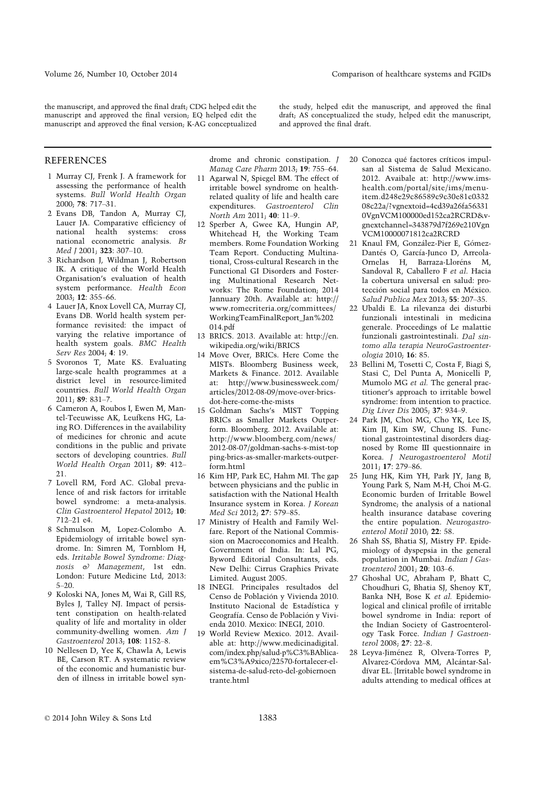the manuscript, and approved the final draft; CDG helped edit the manuscript and approved the final version; EQ helped edit the manuscript and approved the final version; K-AG conceptualized the study, helped edit the manuscript, and approved the final draft; AS conceptualized the study, helped edit the manuscript, and approved the final draft.

### REFERENCES

- 1 Murray CJ, Frenk J. A framework for assessing the performance of health systems. Bull World Health Organ 2000; 78: 717–31.
- 2 Evans DB, Tandon A, Murray CJ, Lauer JA. Comparative efficiency of national health systems: cross national econometric analysis. Br Med J 2001; 323: 307–10.
- 3 Richardson J, Wildman J, Robertson IK. A critique of the World Health Organisation's evaluation of health system performance. Health Econ 2003; 12: 355–66.
- 4 Lauer JA, Knox Lovell CA, Murray CJ, Evans DB. World health system performance revisited: the impact of varying the relative importance of health system goals. BMC Health Serv Res 2004; 4: 19.
- 5 Svoronos T, Mate KS. Evaluating large-scale health programmes at a district level in resource-limited countries. Bull World Health Organ 2011; 89: 831–7.
- 6 Cameron A, Roubos I, Ewen M, Mantel-Teeuwisse AK, Leufkens HG, Laing RO. Differences in the availability of medicines for chronic and acute conditions in the public and private sectors of developing countries. Bull World Health Organ 2011; 89: 412– 21.
- 7 Lovell RM, Ford AC. Global prevalence of and risk factors for irritable bowel syndrome: a meta-analysis. Clin Gastroenterol Hepatol 2012; 10: 712–21 e4.
- 8 Schmulson M, Lopez-Colombo A. Epidemiology of irritable bowel syndrome. In: Simren M, Tornblom H, eds. Irritable Bowel Syndrome: Diagnosis & Management, 1st edn. London: Future Medicine Ltd, 2013: 5–20.
- 9 Koloski NA, Jones M, Wai R, Gill RS, Byles J, Talley NJ. Impact of persistent constipation on health-related quality of life and mortality in older community-dwelling women. Am J Gastroenterol 2013; 108: 1152–8.
- 10 Nellesen D, Yee K, Chawla A, Lewis BE, Carson RT. A systematic review of the economic and humanistic burden of illness in irritable bowel syn-

drome and chronic constipation. J Manag Care Pharm 2013; 19: 755–64.

- 11 Agarwal N, Spiegel BM. The effect of irritable bowel syndrome on healthrelated quality of life and health care expenditures. Gastroenterol Clin North Am 2011; 40: 11–9.
- 12 Sperber A, Gwee KA, Hungin AP, Whitehead H, the Working Team members. Rome Foundation Working Team Report. Conducting Multinational, Cross-cultural Research in the Functional GI Disorders and Fostering Multinational Research Networks: The Rome Foundation; 2014 Jannuary 20th. Available at: http:// www.romecriteria.org/committees/ WorkingTeamFinalReport\_Jan%202 014.pdf
- 13 BRICS. 2013. Available at: http://en. wikipedia.org/wiki/BRICS
- 14 Move Over, BRICs. Here Come the MISTs. Bloomberg Business week, Markets & Finance. 2012. Available at: http://www.businessweek.com/ articles/2012-08-09/move-over-bricsdot-here-come-the-mists
- 15 Goldman Sachs's MIST Topping BRICs as Smaller Markets Outperform. Bloomberg. 2012. Available at: http://www.bloomberg.com/news/ 2012-08-07/goldman-sachs-s-mist-top ping-brics-as-smaller-markets-outperform.html
- 16 Kim HP, Park EC, Hahm MI. The gap between physicians and the public in satisfaction with the National Health Insurance system in Korea. J Korean Med Sci 2012; 27: 579–85.
- 17 Ministry of Health and Family Welfare. Report of the National Commission on Macroeconomics and Health. Government of India. In: Lal PG, Byword Editorial Consultants, eds. New Delhi: Cirrus Graphics Private Limited. August 2005.
- 18 INEGI. Principales resultados del Censo de Población y Vivienda 2010. Instituto Nacional de Estadística y Geografía. Censo de Población y Vivienda 2010. Mexico: INEGI, 2010.
- 19 World Review Mexico. 2012. Available at: http://www.medicinadigital. com/index.php/salud-p%C3%BAblicaem%C3%A9xico/22570-fortalecer-elsistema-de-salud-reto-del-gobiernoen trante.html
- 20 Conozca qué factores críticos impulsan al Sistema de Salud Mexicano. 2012. Avaibale at: http://www.imshealth.com/portal/site/ims/menuitem.d248e29c86589c9c30e81c0332 08c22a/?vgnextoid=4cd39a26fa56331 0VgnVCM100000ed152ca2RCRD&vgnextchannel=343879d7f269e210Vgn VCM10000071812ca2RCRD
- 21 Knaul FM, González-Pier E, Gómez-Dantés O, García-Junco D, Arreola-Ornelas H, Barraza-Lloréns M, Sandoval R, Caballero F et al. Hacia la cobertura universal en salud: protección social para todos en México. Salud Publica Mex 2013; 55: 207–35.
- 22 Ubaldi E. La rilevanza dei disturbi funzionali intestinali in medicina generale. Proceedings of Le malattie funzionali gastrointestinali. Dal sintomo alla terapia NeuroGastroenterologia 2010; 16: 85.
- 23 Bellini M, Tosetti C, Costa F, Biagi S, Stasi C, Del Punta A, Monicelli P, Mumolo MG et al. The general practitioner's approach to irritable bowel syndrome: from intention to practice. Dig Liver Dis 2005; 37: 934–9.
- 24 Park JM, Choi MG, Cho YK, Lee IS, Kim JI, Kim SW, Chung IS. Functional gastrointestinal disorders diagnosed by Rome III questionnaire in Korea. J Neurogastroenterol Motil 2011; 17: 279–86.
- 25 Jung HK, Kim YH, Park JY, Jang B, Young Park S, Nam M-H, Choi M-G. Economic burden of Irritable Bowel Syndrome; the analysis of a national health insurance database covering the entire population. Neurogastroenterol Motil 2010; 22: 58.
- 26 Shah SS, Bhatia SJ, Mistry FP. Epidemiology of dyspepsia in the general population in Mumbai. Indian J Gastroenterol 2001; 20: 103–6.
- 27 Ghoshal UC, Abraham P, Bhatt C, Choudhuri G, Bhatia SJ, Shenoy KT, Banka NH, Bose K et al. Epidemiological and clinical profile of irritable bowel syndrome in India: report of the Indian Society of Gastroenterology Task Force. Indian J Gastroenterol 2008; 27: 22–8.
- 28 Leyva-Jiménez R, Olvera-Torres P, Alvarez-Córdova MM, Alcántar-Saldívar EL. [Irritable bowel syndrome in adults attending to medical offices at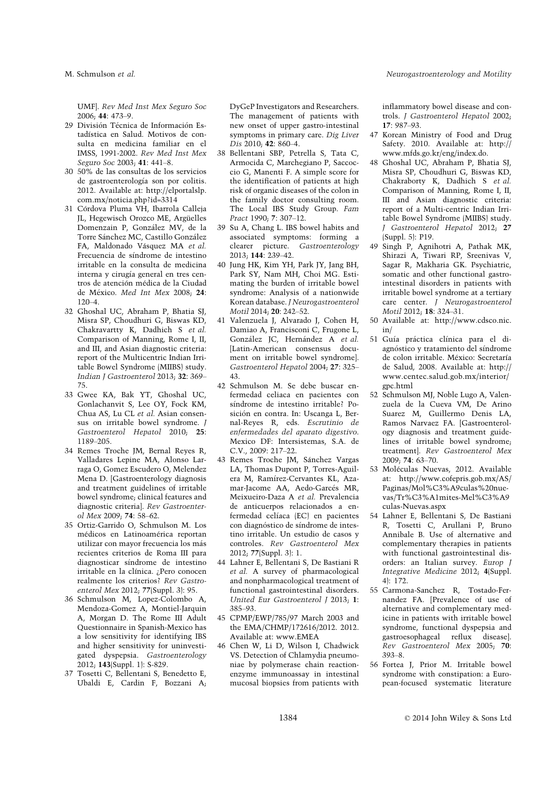UMF]. Rev Med Inst Mex Seguro Soc 2006; 44: 473–9.

- 29 División Técnica de Información Estadística en Salud. Motivos de consulta en medicina familiar en el IMSS, 1991-2002. Rev Med Inst Mex Seguro Soc 2003; 41: 441–8.
- 30 50% de las consultas de los servicios de gastroenterología son por colitis. 2012. Available at: http://elportalslp. com.mx/noticia.php?id=3314
- 31 Córdova Pluma VH, Ibarrola Calleja JL, Hegewisch Orozco ME, Argüelles Domenzain P, González MV, de la Torre Sánchez MC, Castillo González FA, Maldonado Vásquez MA et al. Frecuencia de síndrome de intestino irritable en la consulta de medicina interna y cirugía general en tres centros de atención médica de la Ciudad de México. Med Int Mex 2008; 24: 120–4.
- 32 Ghoshal UC, Abraham P, Bhatia SJ, Misra SP, Choudhuri G, Biswas KD, Chakravartty K, Dadhich S et al. Comparison of Manning, Rome I, II, and III, and Asian diagnostic criteria: report of the Multicentric Indian Irritable Bowel Syndrome (MIIBS) study. Indian J Gastroenterol 2013; 32: 369– 75.
- 33 Gwee KA, Bak YT, Ghoshal UC, Gonlachanvit S, Lee OY, Fock KM, Chua AS, Lu CL et al. Asian consensus on irritable bowel syndrome. J Gastroenterol Hepatol 2010; 25: 1189–205.
- 34 Remes Troche JM, Bernal Reyes R, Valladares Lepine MA, Alonso Larraga O, Gomez Escudero O, Melendez Mena D. [Gastroenterology diagnosis and treatment guidelines of irritable bowel syndrome; clinical features and diagnostic criteria]. Rev Gastroenterol Mex 2009; 74: 58–62.
- 35 Ortiz-Garrido O, Schmulson M. Los médicos en Latinoamérica reportan utilizar con mayor frecuencia los más recientes criterios de Roma III para diagnosticar síndrome de intestino irritable en la clínica. ¿Pero conocen realmente los criterios? Rev Gastroenterol Mex 2012; 77(Suppl. 3): 95.
- 36 Schmulson M, Lopez-Colombo A, Mendoza-Gomez A, Montiel-Jarquin A, Morgan D. The Rome III Adult Questionnaire in Spanish-Mexico has a low sensitivity for identifying IBS and higher sensitivity for uninvestigated dyspepsia. Gastroenterology 2012; 143(Suppl. 1): S-829.
- 37 Tosetti C, Bellentani S, Benedetto E, Ubaldi E, Cardin F, Bozzani A;

DyGeP Investigators and Researchers. The management of patients with new onset of upper gastro-intestinal symptoms in primary care. Dig Liver Dis 2010; 42: 860–4.

- 38 Bellentani SBP, Petrella S, Tata C, Armocida C, Marchegiano P, Saccoccio G, Manenti F. A simple score for the identification of patients at high risk of organic diseases of the colon in the family doctor consulting room. The Local IBS Study Group. Fam Pract 1990; 7: 307–12.
- 39 Su A, Chang L. IBS bowel habits and associated symptoms: forming a clearer picture. Gastroenterology 2013; 144: 239–42.
- 40 Jung HK, Kim YH, Park JY, Jang BH, Park SY, Nam MH, Choi MG. Estimating the burden of irritable bowel syndrome: Analysis of a nationwide Korean database. J Neurogastroenterol Motil 2014; 20: 242–52.
- 41 Valenzuela J, Alvarado J, Cohen H, Damiao A, Francisconi C, Frugone L, González JC, Hernández A et al. [Latin-American consensus document on irritable bowel syndrome]. Gastroenterol Hepatol 2004; 27: 325– 43.
- 42 Schmulson M. Se debe buscar enfermedad celiaca en pacientes con síndrome de intestino irritable? Posición en contra. In: Uscanga L, Bernal-Reyes R, eds. Escrutinio de enfermedades del aparato digestivo. Mexico DF: Intersistemas, S.A. de C.V., 2009: 217–22.
- 43 Remes Troche JM, Sánchez Vargas LA, Thomas Dupont P, Torres-Aguilera M, Ramírez-Cervantes KL, Azamar-Jacome AA, Aedo-Garcés MR, Meixueiro-Daza A et al. Prevalencia de anticuerpos relacionados a enfermedad celíaca (EC) en pacientes con diagnóstico de síndrome de intestino irritable. Un estudio de casos y controles. Rev Gastroenterol Mex 2012; 77(Suppl. 3): 1.
- 44 Lahner E, Bellentani S, De Bastiani R et al. A survey of pharmacological and nonpharmacological treatment of functional gastrointestinal disorders. United Eur Gastroenterol I 2013; 1: 385–93.
- 45 CPMP/EWP/785/97 March 2003 and the EMA/CHMP/172616/2012. 2012. Available at: www.EMEA
- 46 Chen W, Li D, Wilson I, Chadwick VS. Detection of Chlamydia pneumoniae by polymerase chain reactionenzyme immunoassay in intestinal mucosal biopsies from patients with

inflammatory bowel disease and controls. J Gastroenterol Hepatol 2002; 17: 987–93.

- 47 Korean Ministry of Food and Drug Safety. 2010. Available at: http:// www.mfds.go.kr/eng/index.do.
- 48 Ghoshal UC, Abraham P, Bhatia SJ, Misra SP, Choudhuri G, Biswas KD, Chakraborty K, Dadhich S et al. Comparison of Manning, Rome I, II, III and Asian diagnostic criteria: report of a Multi-centric Indian Irritable Bowel Syndrome (MIIBS) study. J Gastroenterol Hepatol 2012; 27 (Suppl. 5): P19.
- 49 Singh P, Agnihotri A, Pathak MK, Shirazi A, Tiwari RP, Sreenivas V, Sagar R, Makharia GK. Psychiatric, somatic and other functional gastrointestinal disorders in patients with irritable bowel syndrome at a tertiary care center. J Neurogastroenterol Motil 2012; 18: 324–31.
- 50 Available at: http://www.cdsco.nic. in/
- 51 Guía práctica clínica para el diagnóstico y tratamiento del síndrome de colon irritable. México: Secretaría de Salud, 2008. Available at: http:// www.centec.salud.gob.mx/interior/ gpc.html
- 52 Schmulson MJ, Noble Lugo A, Valenzuela de la Cueva VM, De Arino Suarez M, Guillermo Denis LA, Ramos Narvaez FA. [Gastroenterology diagnosis and treatment guidelines of irritable bowel syndrome; treatment]. Rev Gastroenterol Mex 2009; 74: 63–70.
- 53 Moléculas Nuevas, 2012. Available at: http://www.cofepris.gob.mx/AS/ Paginas/Mol%C3%A9culas%20nuevas/Tr%C3%A1mites-Mel%C3%A9 culas-Nuevas.aspx
- 54 Lahner E, Bellentani S, De Bastiani R, Tosetti C, Arullani P, Bruno Annibale B. Use of alternative and complementary therapies in patients with functional gastrointestinal disorders: an Italian survey. Europ J Integrative Medicine 2012; 4(Suppl. 4): 172.
- 55 Carmona-Sanchez R, Tostado-Fernandez FA. [Prevalence of use of alternative and complementary medicine in patients with irritable bowel syndrome, functional dyspepsia and gastroesophageal reflux disease]. Rev Gastroenterol Mex 2005; 70: 393–8.
- 56 Fortea J, Prior M. Irritable bowel syndrome with constipation: a European-focused systematic literature